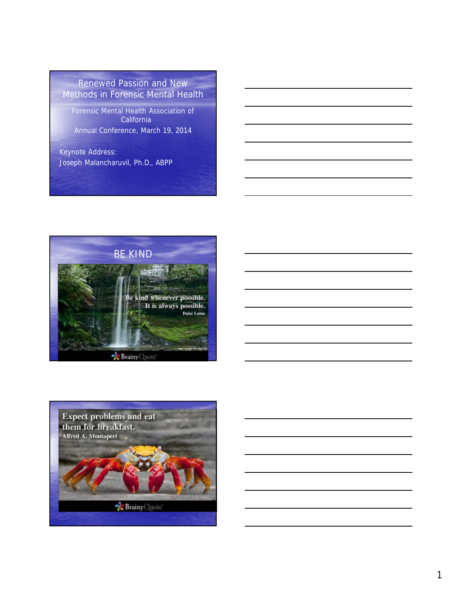Renewed Passion and New Methods in Forensic Mental Health

Forensic Mental Health Association of **California** Annual Conference, March 19, 2014

Keynote Address: Joseph Malancharuvil, Ph.D., ABPP



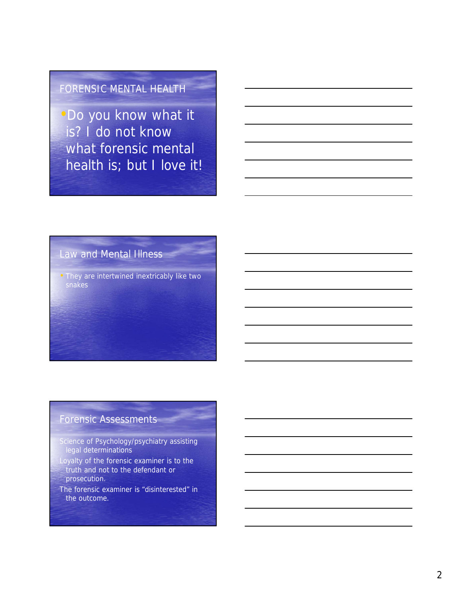## FORENSIC MENTAL HEALTH

•Do you know what it is? I do not know what forensic mental health is; but I love it!

## Law and Mental Illness

• They are intertwined inextricably like two snakes

## Forensic Assessments

- Science of Psychology/psychiatry assisting legal determinations
- Loyalty of the forensic examiner is to the truth and not to the defendant or prosecution.
- The forensic examiner is "disinterested" in the outcome.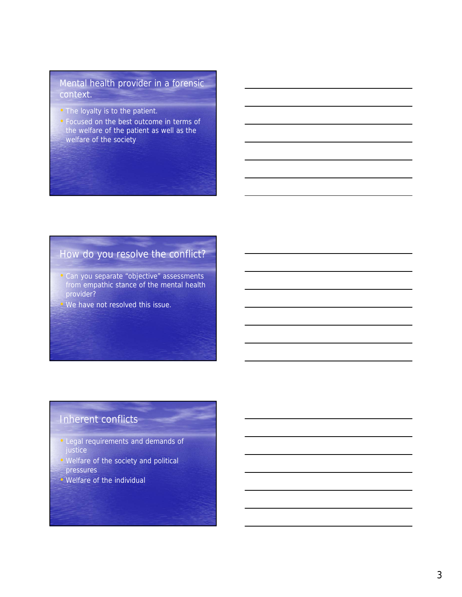#### Mental health provider in a forensic context.

- The loyalty is to the patient.
- Focused on the best outcome in terms of the welfare of the patient as well as the welfare of the society

## How do you resolve the conflict?

- Can you separate "objective" assessments from empathic stance of the mental health provider?
- We have not resolved this issue.

## Inherent conflicts

- Legal requirements and demands of justice
- Welfare of the society and political pressures
- Welfare of the individual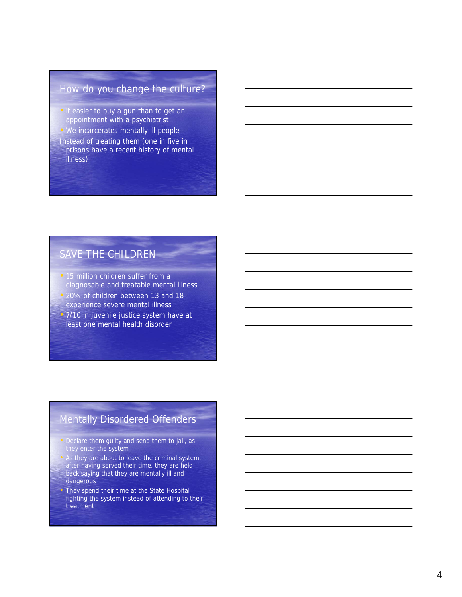## How do you change the culture?

- it easier to buy a gun than to get an appointment with a psychiatrist
- We incarcerates mentally ill people Instead of treating them (one in five in prisons have a recent history of mental illness)

## SAVE THE CHILDREN

- 15 million children suffer from a diagnosable and treatable mental illness
- 20% of children between 13 and 18 experience severe mental illness
- 7/10 in juvenile justice system have at least one mental health disorder

## Mentally Disordered Offenders

- Declare them guilty and send them to jail, as they enter the system
- As they are about to leave the criminal system, after having served their time, they are held back saying that they are mentally ill and dangerous
- They spend their time at the State Hospital fighting the system instead of attending to their treatment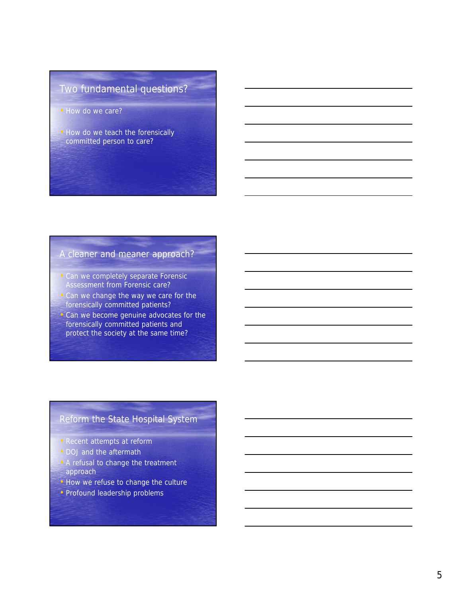## Two fundamental questions?

- How do we care?
- How do we teach the forensically committed person to care?

#### A cleaner and meaner approach?

- Can we completely separate Forensic Assessment from Forensic care?
- Can we change the way we care for the forensically committed patients?
- Can we become genuine advocates for the forensically committed patients and protect the society at the same time?

#### Reform the State Hospital System

- Recent attempts at reform
- DOJ and the aftermath
- A refusal to change the treatment approach
- How we refuse to change the culture
- Profound leadership problems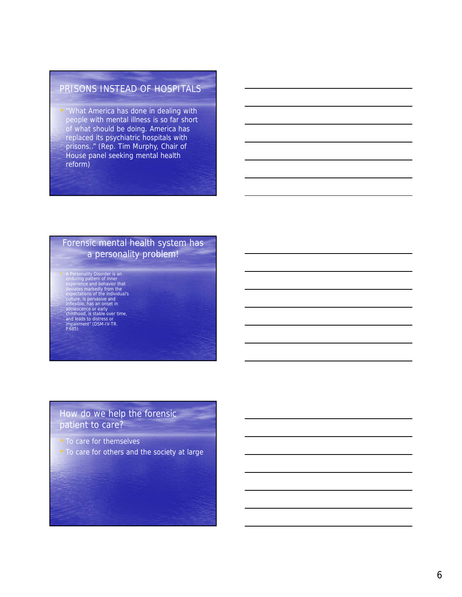#### PRISONS INSTEAD OF HOSPITALS

• "What America has done in dealing with people with mental illness is so far short of what should be doing. America has replaced its psychiatric hospitals with prisons.." (Rep. Tim Murphy, Chair of House panel seeking mental health reform)

#### Forensic mental health system has a personality problem!

• A Personality Disorder is an enduring pattern of inner<br>experience and behavior that<br>experience and behavior that<br>expectations of the individual's<br>culture, is pervasive and<br>inflexible, has an onset in<br>edicescence or early

#### How do we help the forensic patient to care?

- To care for themselves
- To care for others and the society at large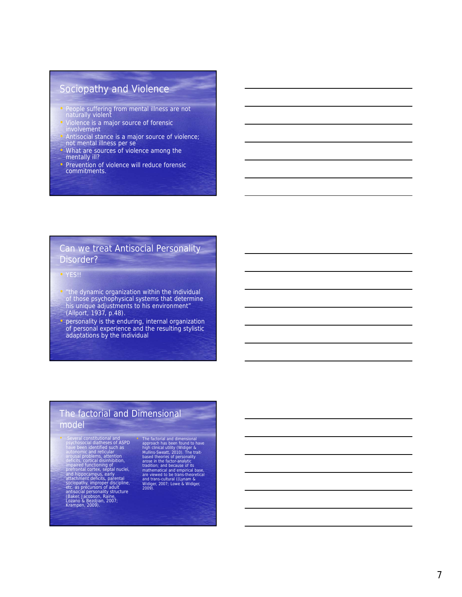## Sociopathy and Violence

- People suffering from mental illness are not naturally violent
- Violence is a major source of forensic involvement
- Antisocial stance is a major source of violence; not mental illness per se
- What are sources of violence among the mentally ill?
- Prevention of violence will reduce forensic commitments.

# Can we treat Antisocial Personality Disorder?<br>• YES!!

- 
- "the dynamic organization within the individual of those psychophysical systems that determine his unique adjustments to his environment" (Allport, 1937, p.48).
- personality is the enduring, internal organization of personal experience and the resulting stylistic adaptations by the individual

#### The factorial and Dimensional model

• Several constitutional and<br>psychosocial diatheses of ASPD<br>have been identified such as<br>autonomic and reticular<br>automomic and reticular<br>distribution<br>deficits, cortical disinhibition,<br>impaired tructioning of<br>performal corr

- 
- 

• The factorial and dimensional<br>approach has been found to have<br>high clinical utility (Widiger &<br>Mullins-Sweatt, 2010). The trait-<br>areas in the factor-analytic<br>areas in the factor-analytic<br>tradition: and because of its<br>mat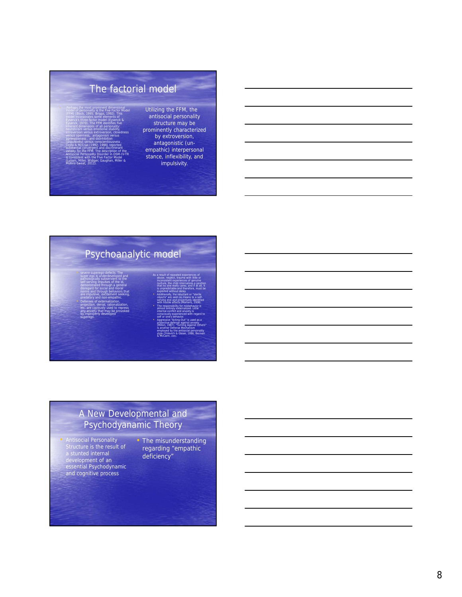## The factorial model

• Perhaps the most prominent dimensional model of personality is the Five Factor Model (FFM) (Block, 1995; Briggs, 1992). This model incorporates some elements of Eysenck's three factor model (Eysenck & Eysenck, 1970). The FFM identifies five inherent dimensions of all personality: neuroticism versus emotional stability, introversion versus extroversion, closedness versus openness, antagonism versus

agreeableness , and disinhibition (impulsivity) versus conscientiousness . Costa & McCrae (1992, 1998) reported substantial convergent and discriminant validity for the FFM. The description of the Antisocial Personality Disorder in DSM-IV-TR is consistent with the Five Factor Model (Lynam, Miller, Widiger, Gaughan, Miller & Mullins-Sweat, 2011).

Utilizing the FFM, the antisocial personality structure may be prominently characterized by extroversion, antagonistic (unempathic) interpersonal stance, inflexibility, and impulsivity.

## Psychoanalytic model

- severe superego-defects. The super ego is underdeveloped and pathologically subservient to the self-serving impulses of the id, demonstrated through a general disregard for social and moral norms and through behaviors that are impulsive, excitement seeking, predatory and non-empathic.
- Defenses of externalization, projection, denial, rationalization, etc. are copiously used to repress any anxiety that may be provoked by improperly developed

superego.

As a result of repeated experiences of abuse, neglect, trauma with little or inconsistent experiences of genuine nurture, the child internalizes a position that no one really cares; and if at all, it is unpredictable and therefore, must be exploited without delay. • Additionally, the reluctant or "sterile objects" are seen as means to a selfserving end and projectively identified with hostile affects (Martens, 2008). • The responsibility for misbehavior is almost entirely externalized. Little internal conflict and anxiety is consciously experienced with regard to self or one's behavior. • Aggressive "Acting-Out" is used as a protective defense against anxiety (Millon, 1987). "Turning Against Others" is another Defense Mechanism employed by the antisocial personality style (Ihilevich & Gleser, 1986; Berman & McCann, 1995).

#### A New Developmental and Psychodyanamic Theory

• Antisocial Personality Structure is the result of a stunted internal development of an essential Psychodynamic and cognitive process

• The misunderstanding regarding "empathic deficiency"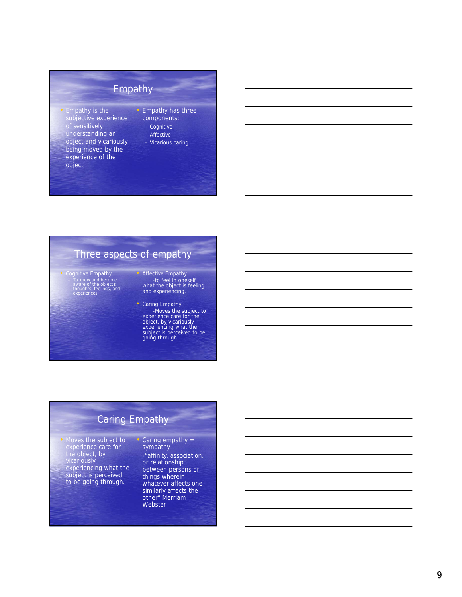## Empathy

- Empathy is the subjective experience of sensitively understanding an object and vicariously being moved by the experience of the object
- Empathy has three components:
	- Cognitive
	- Affective
	- Vicarious caring

## Three aspects of empathy

- Cognitive Empathy To know and become aware of the object's thoughts, feelings, and experiences
- Affective Empathy -to feel in oneself what the object is feeling and experiencing.
- Caring Empathy -Moves the subject to experience care for the object, by vicariously experiencing what the subject is perceived to be going through.

## Caring Empathy

• Moves the subject to experience care for the object, by vicariously experiencing what the subject is perceived to be going through.

#### • Caring empathy = sympathy

-"affinity, association,<br>or relationship or relationship between persons or<br>things wherein things wherein whatever affects one similarly affects the other" Merriam Webster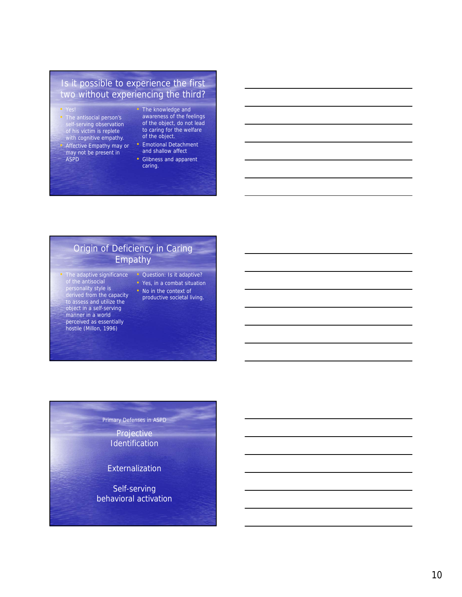#### Is it possible to experience the first two without experiencing the third?

- The antisocial person's self-serving observation of his victim is replete with cognitive empathy. • Affective Empathy may or may not be present in ASPD
- The knowledge and awareness of the feelings of the object, do not lead to caring for the welfare of the object.
- Emotional Detachment and shallow affect
- Glibness and apparent caring.

#### Origin of Deficiency in Caring Empathy

- The adaptive significance of the antisocial personality style is derived from the capacity to assess and utilize the object in a self-serving manner in a world perceived as essentially hostile (Millon, 1996)
- Question: Is it adaptive? • Yes, in a combat situation
- No in the context of
- productive societal living.

## Primary Defenses in ASPD

**Projective** Identification

Externalization

Self-serving behavioral activation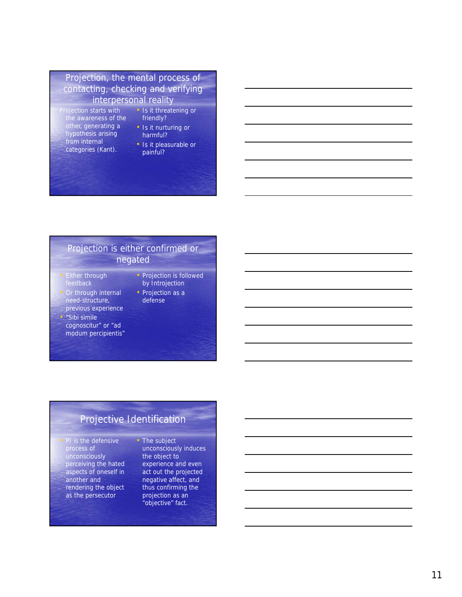### Projection, the mental process of contacting, checking and verifying interpersonal reality

- Projection starts with the awareness of the other, generating a hypothesis arising from internal categories (Kant).
- Is it threatening or friendly? • Is it nurturing or
- harmful?
- Is it pleasurable or painful?

#### Projection is either confirmed or negated

- Either through feedback
- Or through internal need-structure, previous experience
- "Sibi simile
	- cognoscitur" or "ad modum percipientis"
- Projection is followed by Introjection • Projection as a
- defense

## Projective Identification

• PI is the defensive process of unconsciously perceiving the hated aspects of oneself in another and rendering the object as the persecutor

The subject unconsciously induces the object to experience and even act out the projected negative affect, and thus confirming the projection as an "objective" fact.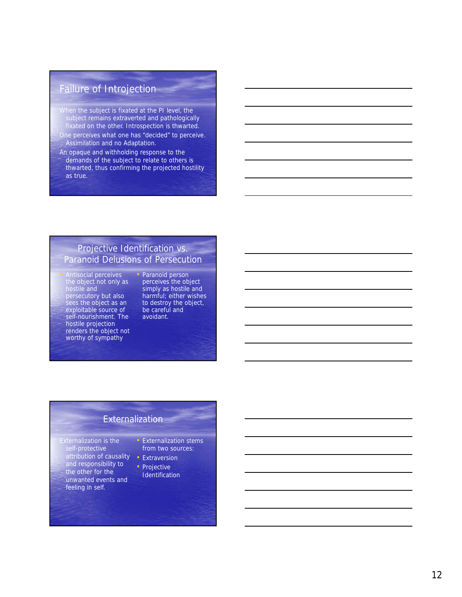## Failure of Introjection

- When the subject is fixated at the PI level, the subject remains extraverted and pathologically fixated on the other. Introspection is thwarted.
- One perceives what one has "decided" to perceive. Assimilation and no Adaptation.
- An opaque and withholding response to the demands of the subject to relate to others is thwarted, thus confirming the projected hostility as true.

#### Projective Identification vs. Paranoid Delusions of Persecution

- Antisocial perceives the object not only as hostile and persecutory but also sees the object as an exploitable source of self-nourishment. The hostile projection renders the object not worthy of sympathy
- Paranoid person perceives the object simply as hostile and harmful; either wishes to destroy the object, be careful and avoidant.

#### **Externalization**

- Externalization is the self-protective attribution of causality and responsibility to the other for the unwanted events and feeling in self.
- Externalization stems from two sources:
- Extraversion
- Projective Identification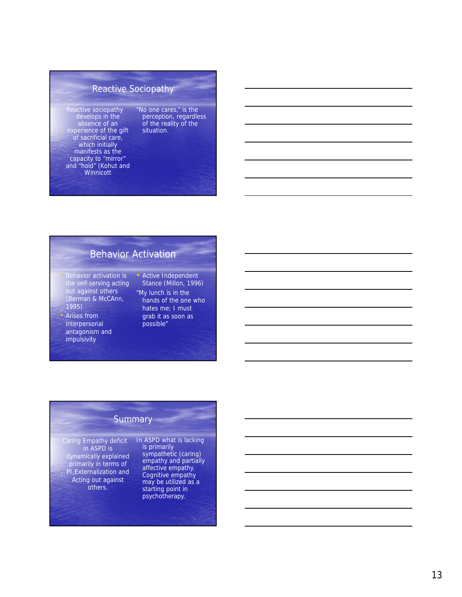## Reactive Sociopathy

Reactive sociopathy develops in the absence of an experience of the gift of sacrificial care, which initially manifests as the capacity to "mirror" and "hold" (Kohut and **Winnicott** 

"No one cares," is the perception, regardless of the reality of the situation.

## Behavior Activation

- Behavior activation is the self-serving acting out against others (Berman & McCAnn, 1995)
- Arises from interpersonal antagonism and impulsivity
- Active Independent Stance (Millon, 1996) "My lunch is in the hands of the one who hates me; I must grab it as soon as

possible"

#### **Summary**

Caring Empathy deficit in ASPD is dynamically explained primarily in terms of PI,Externalization and Acting out against others.

In ASPD what is lacking is primarily sympathetic (caring) empathy and partially affective empathy. Cognitive empathy may be utilized as a starting point in psychotherapy.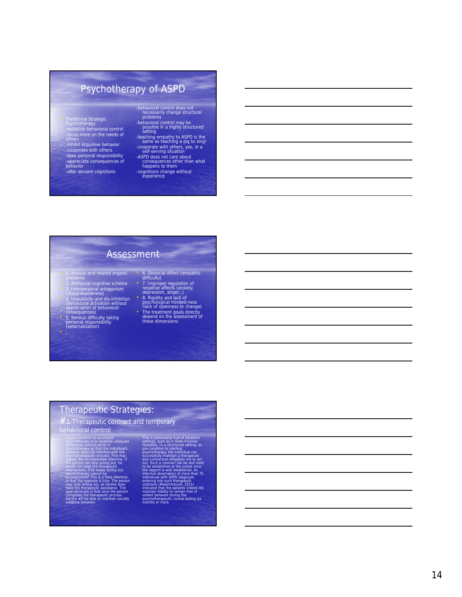## Psychotherapy of ASPD

- Traditional Strategic Psychotherapy -establish behavioral control -focus more on the needs of others
- -inhibit impulsive behavior -cooperate with others -take personal responsibility -appreciate consequences of behavior

-alter deviant cognitions

- -behavioral control does not necessarily change structural problems
- -behavioral control may be possible in a highly structured setting
- -teaching empathy to ASPD is the same as teaching a pig to sing! -cooperate with others, yes, in a self-serving situation
- -ASPD does not care about consequences other than what happens to them
- -cognitions change without<br>experience

#### Assessment

**Principal** 

- 
- 
- 1. Arousal and related organic<br>
 Doblems<br>
 2. Antisocial cognitive schema<br>
 3. Interpersonal antagonism<br>
 4. Impulsivity and dis-inhibition<br>
 4. Impulsivity and dis-inhibition<br>
 appreciation of behavioral<br>
 conseq
- 5. Serious difficulty taking personal responsibility (externalization)
- 
- 6. Dissocial Affect (empathic<br>
difficulty)<br>
7. Improper regulation of<br>
negative affects (anxiety,<br>
depression, anger...)<br>
8. Rigidity and lack of<br>
psychological minded-ness<br>
(lack of openness to change)<br>
The treatment go depend on the assessment of these dimensions

# Therapeutic Strategies:<br>
#1:Therapeutic contract and temporary

# behavioral control

- A pre-condition to successful<br>possible acconstrated by experimental controls while in the sylven<br>behavior as possible asylvent proportion successive discussions and<br>possible different with the proportion success. This may
- 
- This is particularly true of inpatient<br>This is accelerated to explain the strength sections is the special of<br>Hospitals. In a structured setting psychological procedure access<br>fully maintain a therapeutic and contract and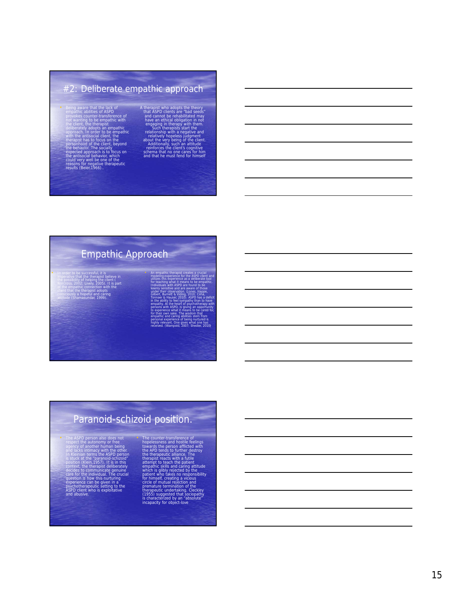## #2: Deliberate empathic approach

- the lack of<br>of ASPD empathic abilities of ASPD<br>provokes counter-transference of<br>not wanting to be empathic with the client, the therapist deliberately adopts an empathic approach. In order to be empathic with the antisocial client, the therapist has to focus on the<br>personhood of the client, beyond<br>the behavior. The socially<br>expected approach is to focus on<br>the antisocial behavior, which<br>could very well be one of the<br>results (Beier, 1966)..
	- A therapist who adopts the theory<br>that ASPD clients are "bad seeds"<br>and cannot be rehabilitated may<br>have an ethical obligation in not<br>engaging in therapists start the<br>realitonship with a negative and<br>relationship with a ne

# Empathic Approach

• In order to be successful, it is imperative that the therapist believe in the possibility of helping the client ( Norcross, 2002; Lively, 2005). It is part of the empathic connection with the client that the therapist adopts consciously a hopeful and caring attitude (Shamasundar, 1999).

modeling experience for the ASPD client and utilizes this experience as a deliberate tool for teaching what it means to be empathic. Individuals with ASPD are found to be keenly sensitive and are aware of those under their observation. (Jones, Happe, Gilbert, Burnett & Viding, 2010; Cima, Tonnaer & Hauser, 2010). ASPD has a deficit in the ability to feel sympathy than to have empathy. At the heart of psychotherapy with persons with ASPD, is giving an opportunity to experience what it means to be cared for, for their own sake. The wisdom that empathic and caring abilities stem from personal experience of being nurtured is highly relevant. One gives what one has received. (Wampold, 2007; Shedler, 2010)

• An empathic therapist creates a crucial

# Paranoid-schizoid position.

• The ASPD person also does not respect the autonomy or free agency of another human being and lacks intimacy with the other. In Kleinian terms the ASPD person is stuck at the "paranoid-schizoid" position (Klein,1957). It is in this context, the therapist deliberately decides to communicate genuine care for the individual. The crucial question is how this nurturing experience can be given in a psychotherapeutic setting to the ASPD client who is exploitative

and abusive.

The counter-transference of<br>hopelessness and hostlie feelings<br>towards the person afflicted with<br>the APD tends to further destroy<br>the therapeutic alliance. The<br>therapist reacts with a futile<br>attempt to teach the patient<br>emp patient who fakes no responsibility<br>for himself, creating a vicious<br>circle of mutual rejection and<br>premature termination of the<br>therapeutic undertaking. Cleckley<br>(1955) suggested that sociopathy<br>incapacity for object-love<br>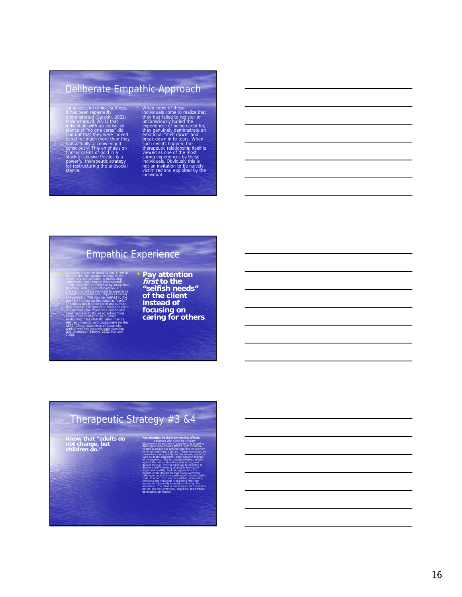## Deliberate Empathic Approach

- In successful clinical settings,<br>it has been repeatedly<br>the anomstrated (Salekin, 2002;<br>Malancharuvil, 2011) that<br>individuals with an antisocial<br>stance of "no one cares" did<br>face and that they were indeed<br>cared for much
- 

• When some of these<br>individuals come to realize that<br>they had failed to register or<br>experiences of being cared for,<br>experiences of being cared for,<br>they genuinely demonstrate an<br>emotional "melt down" and<br>break down in to

## Empathic Experience

• A positive projective identification, in which the self identifies positive feelings in the object, is a pre-condition to developing compassion and intimacy (Shamasundar, 1999). Projection is mitigated by introjection (Martens, 2008). Such introjection is achieved by getting the client to experience at least some (even one) objects as caring and nurturing. This may be resisted by the client by introjecting the object as "useful". The object needs to be perceived as more than "useful". The goal is to assist the client • **Pay attention first to the "selfish needs" of the client** 

to experience the object as a person who cares, and eventually, as an autonomous relationship. This idealistic vision may be seen as unrealistic and unattainable for the ASPD. Clinical experience of those who worked with this dynamic understanding tells otherwise ( Salekin, 2002; Martens, **instead of focusing on caring for others.**

## Therapeutic Strategy #3 &4

• **Know that "adults do not change, but children do."**

agent in the context of an "I-Thou"

2008).

related to object loss and the resulting melancholy, remorse, loneliness, grief. etc. These individuals are known to express readily the fast moving emotions such as anger, excitement, overt hostility, feelings of revenge, etc. The fast moving feelings defend against the more vulnerable, slow acting, and deeper feelings. The therapist will be tempted to deal only with the easily accessible feelings of anger and hostility. Such an approach to the neglect of the deeper feelings could eventually sabotage successful restructuring of the personality style. In order to access the isolated, slow-acting emotions, the individual is helped to relax and regress to these early experiences through the anamnesis. The focus is not so much on the events per se, but their emotional, cognitive, and attitude-

generating significance.

• **Pay attention to the slow-moving affects.**<br>• Individuals with ASPD are clinically observed to be deficient in experiencing as well as dwelling on slow-moving affects, such as sorrow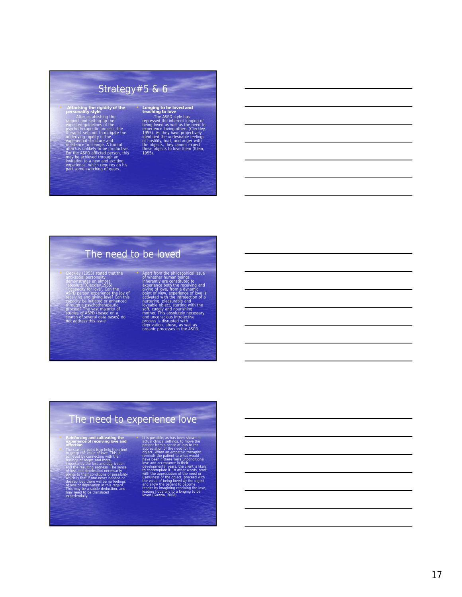# Strategy#5 & 6

• Attacking the rigidity of the<br>personality style<br>after establishing the<br>caport and setting up the<br>expected guidelines of the<br>psychotherapeutic process, the<br>berapist sets out to mitigate the<br>caporiential-structure and<br>expe resistance to change. A frontal<br>attack is unlikely to be productive.<br>For the ASPD afflicted person, this<br>may be achieved through an<br>invitation to a new and exciting<br>experience, which requires on his<br>part some switching of

• **Longing to be loved and teaching to love** -The ASPD style has repressed the inherent longing of<br>being loved as well as the need to<br>experience loving others (Cleckley,<br>1955). As they have projectively<br>identified the undestrable feelings<br>of nostlity, hurt, and anger with<br>the objects, t

## The need to be loved

• Cleckley (1955) stated that the anti-social personality demonstrates an almost "absolute"(Cleckley,1955) "incapacity for love". Can the<br>ASPD person experience the joy of<br>receiving and giving love? Can this<br>capacity be initiated or enhanced<br>process? The vast majority of<br>studies of ASPD (based on a<br>search of several data bases) • Apart from the philosophical issue<br>of whether human beings<br>inherently are constituted to<br>experience both the receiving and<br>plying of love, from a dynamic<br>point of view, experience of love is<br>activated with the introjecti

## The need to experience love

• **Reinforcing and cultivating the experience of receiving love and affection**

**point is the client** to grasp the value of love. This is achieved by connecting with the feelings of anger, and more

importantly the loss and deprivation and the resulting sadness. The sense of loss and deprivation necessarily points to their conditions of possibility which is that if one never needed or desired love there will be no feelings of loss or deprivation in this regard. This may be a subtle deduction, and may need to be translated experientially.

actual clinical settings, to move the patient from a sense of loss to the appreciation of the need for the object. When an empathic therapist reminds the patient to what would have been if there were unconditional love and acceptance in their developmental years, the client is likely

• It is possible, as has been shown in

to contemplate it. In other words, starf<br>with the appreciation of the need or<br>usefulness of the object, proceed with<br>the value of being loved *by* the object<br>and allow the patient to become<br>tender by imagining receiving th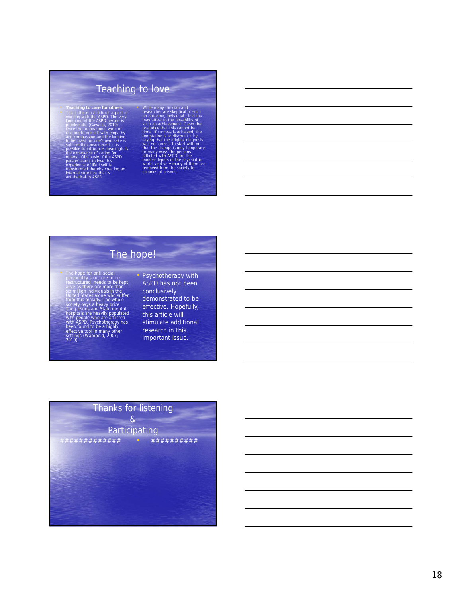# Teaching to love

• Teaching to care for others<br>
• This is the most difficult aspect of<br>
working with the ASPD person is<br>
problematic (Gawada, 2010).<br>
Donce the foundational work of<br>
once the foundational work of

#### relating to oneself with empathy and compassion and the longing to be loved for one's own sake is sufficiently consolidated, it is

- possible to introduce meaningfully<br>the experience of caring for<br>others. Obviously, if the ASPD<br>person learns to love, his<br>experience of life itself is
- 
- transformed thereby creating an internal structure that is antithetical to ASPD.

While many clinical and<br>the same clinical and such an outcome, individual clinical<br>may attest to the possibility of<br>such an achievement. Given the<br>prejudice that this cannot be<br>done, if success is achieved, the<br>templation

## **Example 1** The hope!

- The hope for anti-social<br>personality structure to be<br>restructured needs to be kept<br>alive as there are more than<br>six million individuals in the<br>United States alone who suffer<br>from this malady. The whole<br>society pays a hea The prisons and State mental hospitals are heavily populated with people who are afflicted with ASPD. Psychotherapy has been found to be a highly effective tool in many other settings (Wampold, 2007; 2010).
- Psychotherapy with ASPD has not been conclusively demonstrated to be effective. Hopefully, this article will stimulate additional research in this important issue.

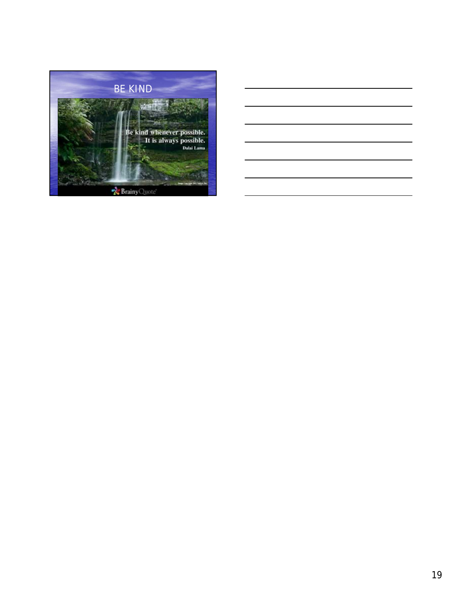

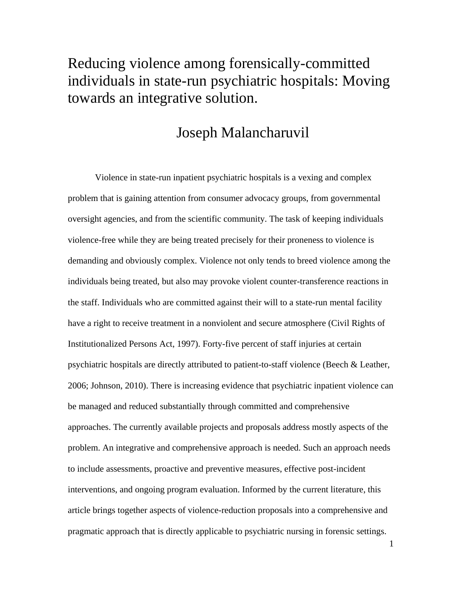# Reducing violence among forensically-committed individuals in state-run psychiatric hospitals: Moving towards an integrative solution.

# Joseph Malancharuvil

Violence in state-run inpatient psychiatric hospitals is a vexing and complex problem that is gaining attention from consumer advocacy groups, from governmental oversight agencies, and from the scientific community. The task of keeping individuals violence-free while they are being treated precisely for their proneness to violence is demanding and obviously complex. Violence not only tends to breed violence among the individuals being treated, but also may provoke violent counter-transference reactions in the staff. Individuals who are committed against their will to a state-run mental facility have a right to receive treatment in a nonviolent and secure atmosphere (Civil Rights of Institutionalized Persons Act, 1997). Forty-five percent of staff injuries at certain psychiatric hospitals are directly attributed to patient-to-staff violence (Beech & Leather, 2006; Johnson, 2010). There is increasing evidence that psychiatric inpatient violence can be managed and reduced substantially through committed and comprehensive approaches. The currently available projects and proposals address mostly aspects of the problem. An integrative and comprehensive approach is needed. Such an approach needs to include assessments, proactive and preventive measures, effective post-incident interventions, and ongoing program evaluation. Informed by the current literature, this article brings together aspects of violence-reduction proposals into a comprehensive and pragmatic approach that is directly applicable to psychiatric nursing in forensic settings.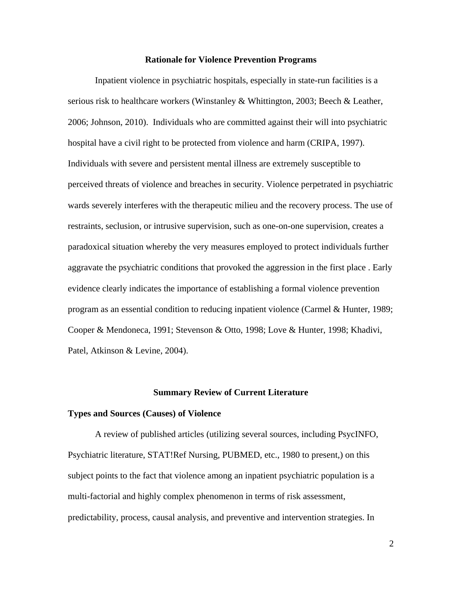#### **Rationale for Violence Prevention Programs**

Inpatient violence in psychiatric hospitals, especially in state-run facilities is a serious risk to healthcare workers (Winstanley & Whittington, 2003; Beech & Leather, 2006; Johnson, 2010). Individuals who are committed against their will into psychiatric hospital have a civil right to be protected from violence and harm (CRIPA, 1997). Individuals with severe and persistent mental illness are extremely susceptible to perceived threats of violence and breaches in security. Violence perpetrated in psychiatric wards severely interferes with the therapeutic milieu and the recovery process. The use of restraints, seclusion, or intrusive supervision, such as one-on-one supervision, creates a paradoxical situation whereby the very measures employed to protect individuals further aggravate the psychiatric conditions that provoked the aggression in the first place . Early evidence clearly indicates the importance of establishing a formal violence prevention program as an essential condition to reducing inpatient violence (Carmel & Hunter, 1989; Cooper & Mendoneca, 1991; Stevenson & Otto, 1998; Love & Hunter, 1998; Khadivi, Patel, Atkinson & Levine, 2004).

#### **Summary Review of Current Literature**

#### **Types and Sources (Causes) of Violence**

A review of published articles (utilizing several sources, including PsycINFO, Psychiatric literature, STAT!Ref Nursing, PUBMED, etc., 1980 to present,) on this subject points to the fact that violence among an inpatient psychiatric population is a multi-factorial and highly complex phenomenon in terms of risk assessment, predictability, process, causal analysis, and preventive and intervention strategies. In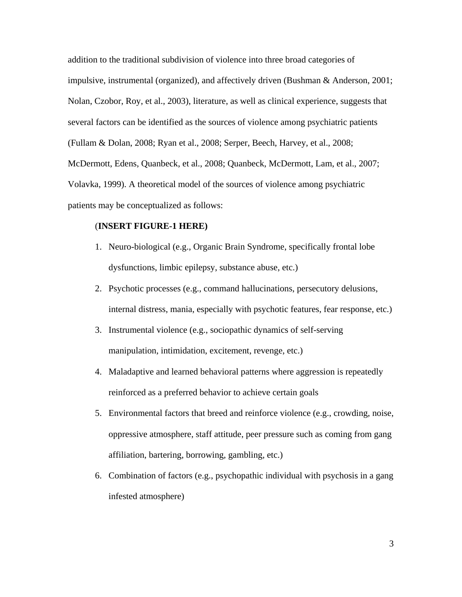addition to the traditional subdivision of violence into three broad categories of impulsive, instrumental (organized), and affectively driven (Bushman & Anderson, 2001; Nolan, Czobor, Roy, et al., 2003), literature, as well as clinical experience, suggests that several factors can be identified as the sources of violence among psychiatric patients (Fullam & Dolan, 2008; Ryan et al., 2008; Serper, Beech, Harvey, et al., 2008; McDermott, Edens, Quanbeck, et al., 2008; Quanbeck, McDermott, Lam, et al., 2007; Volavka, 1999). A theoretical model of the sources of violence among psychiatric patients may be conceptualized as follows:

#### (**INSERT FIGURE-1 HERE)**

- 1. Neuro-biological (e.g., Organic Brain Syndrome, specifically frontal lobe dysfunctions, limbic epilepsy, substance abuse, etc.)
- 2. Psychotic processes (e.g., command hallucinations, persecutory delusions, internal distress, mania, especially with psychotic features, fear response, etc.)
- 3. Instrumental violence (e.g., sociopathic dynamics of self-serving manipulation, intimidation, excitement, revenge, etc.)
- 4. Maladaptive and learned behavioral patterns where aggression is repeatedly reinforced as a preferred behavior to achieve certain goals
- 5. Environmental factors that breed and reinforce violence (e.g., crowding, noise, oppressive atmosphere, staff attitude, peer pressure such as coming from gang affiliation, bartering, borrowing, gambling, etc.)
- 6. Combination of factors (e.g., psychopathic individual with psychosis in a gang infested atmosphere)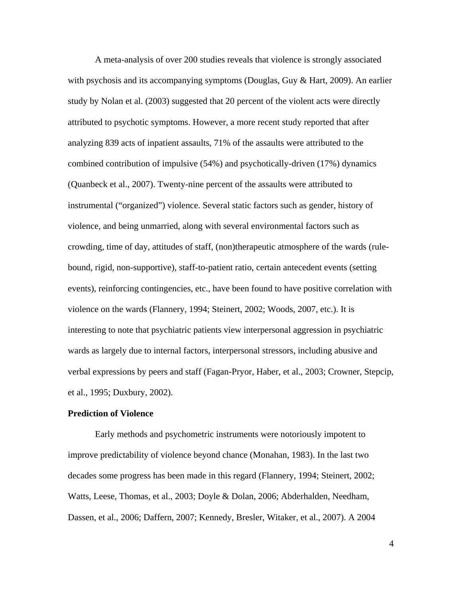A meta-analysis of over 200 studies reveals that violence is strongly associated with psychosis and its accompanying symptoms (Douglas, Guy & Hart, 2009). An earlier study by Nolan et al. (2003) suggested that 20 percent of the violent acts were directly attributed to psychotic symptoms. However, a more recent study reported that after analyzing 839 acts of inpatient assaults, 71% of the assaults were attributed to the combined contribution of impulsive (54%) and psychotically-driven (17%) dynamics (Quanbeck et al., 2007). Twenty-nine percent of the assaults were attributed to instrumental ("organized") violence. Several static factors such as gender, history of violence, and being unmarried, along with several environmental factors such as crowding, time of day, attitudes of staff, (non)therapeutic atmosphere of the wards (rulebound, rigid, non-supportive), staff-to-patient ratio, certain antecedent events (setting events), reinforcing contingencies, etc., have been found to have positive correlation with violence on the wards (Flannery, 1994; Steinert, 2002; Woods, 2007, etc.). It is interesting to note that psychiatric patients view interpersonal aggression in psychiatric wards as largely due to internal factors, interpersonal stressors, including abusive and verbal expressions by peers and staff (Fagan-Pryor, Haber, et al., 2003; Crowner, Stepcip, et al., 1995; Duxbury, 2002).

#### **Prediction of Violence**

 Early methods and psychometric instruments were notoriously impotent to improve predictability of violence beyond chance (Monahan, 1983). In the last two decades some progress has been made in this regard (Flannery, 1994; Steinert, 2002; Watts, Leese, Thomas, et al., 2003; Doyle & Dolan, 2006; Abderhalden, Needham, Dassen, et al., 2006; Daffern, 2007; Kennedy, Bresler, Witaker, et al., 2007). A 2004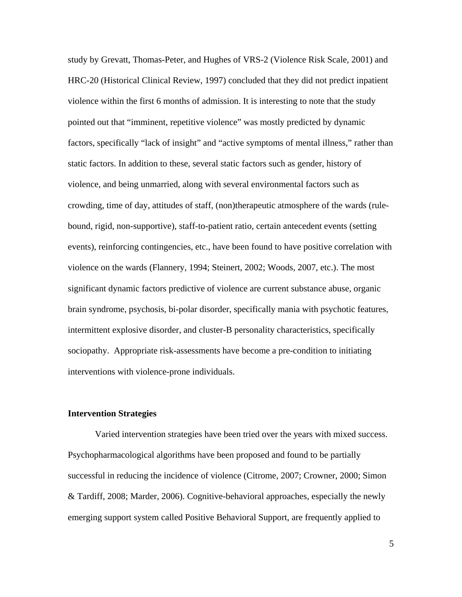study by Grevatt, Thomas-Peter, and Hughes of VRS-2 (Violence Risk Scale, 2001) and HRC-20 (Historical Clinical Review, 1997) concluded that they did not predict inpatient violence within the first 6 months of admission. It is interesting to note that the study pointed out that "imminent, repetitive violence" was mostly predicted by dynamic factors, specifically "lack of insight" and "active symptoms of mental illness," rather than static factors. In addition to these, several static factors such as gender, history of violence, and being unmarried, along with several environmental factors such as crowding, time of day, attitudes of staff, (non)therapeutic atmosphere of the wards (rulebound, rigid, non-supportive), staff-to-patient ratio, certain antecedent events (setting events), reinforcing contingencies, etc., have been found to have positive correlation with violence on the wards (Flannery, 1994; Steinert, 2002; Woods, 2007, etc.). The most significant dynamic factors predictive of violence are current substance abuse, organic brain syndrome, psychosis, bi-polar disorder, specifically mania with psychotic features, intermittent explosive disorder, and cluster-B personality characteristics, specifically sociopathy. Appropriate risk-assessments have become a pre-condition to initiating interventions with violence-prone individuals.

#### **Intervention Strategies**

 Varied intervention strategies have been tried over the years with mixed success. Psychopharmacological algorithms have been proposed and found to be partially successful in reducing the incidence of violence (Citrome, 2007; Crowner, 2000; Simon & Tardiff, 2008; Marder, 2006). Cognitive-behavioral approaches, especially the newly emerging support system called Positive Behavioral Support, are frequently applied to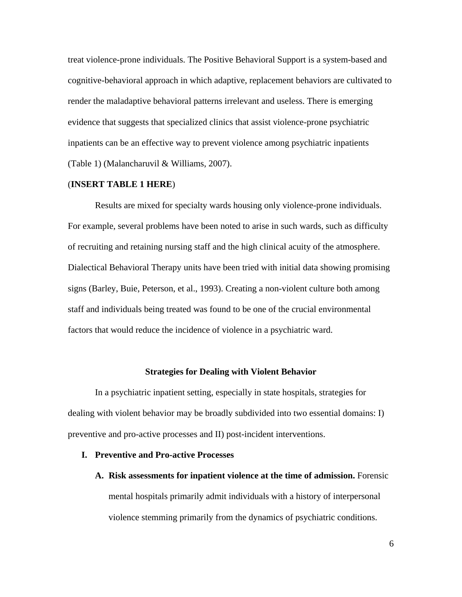treat violence-prone individuals. The Positive Behavioral Support is a system-based and cognitive-behavioral approach in which adaptive, replacement behaviors are cultivated to render the maladaptive behavioral patterns irrelevant and useless. There is emerging evidence that suggests that specialized clinics that assist violence-prone psychiatric inpatients can be an effective way to prevent violence among psychiatric inpatients (Table 1) (Malancharuvil & Williams, 2007).

#### (**INSERT TABLE 1 HERE**)

Results are mixed for specialty wards housing only violence-prone individuals. For example, several problems have been noted to arise in such wards, such as difficulty of recruiting and retaining nursing staff and the high clinical acuity of the atmosphere. Dialectical Behavioral Therapy units have been tried with initial data showing promising signs (Barley, Buie, Peterson, et al., 1993). Creating a non-violent culture both among staff and individuals being treated was found to be one of the crucial environmental factors that would reduce the incidence of violence in a psychiatric ward.

#### **Strategies for Dealing with Violent Behavior**

In a psychiatric inpatient setting, especially in state hospitals, strategies for dealing with violent behavior may be broadly subdivided into two essential domains: I) preventive and pro-active processes and II) post-incident interventions.

#### **I. Preventive and Pro-active Processes**

**A. Risk assessments for inpatient violence at the time of admission.** Forensic mental hospitals primarily admit individuals with a history of interpersonal violence stemming primarily from the dynamics of psychiatric conditions.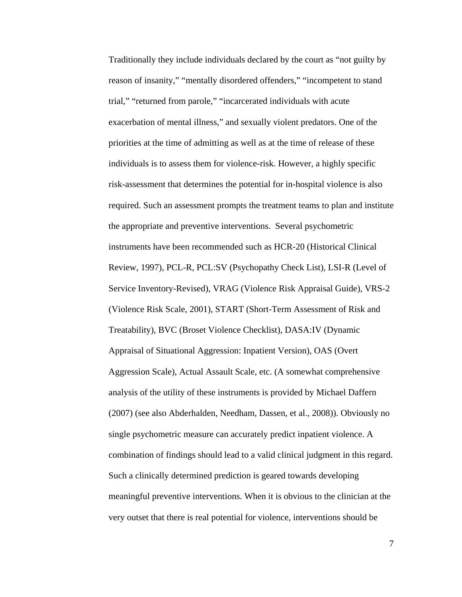Traditionally they include individuals declared by the court as "not guilty by reason of insanity," "mentally disordered offenders," "incompetent to stand trial," "returned from parole," "incarcerated individuals with acute exacerbation of mental illness," and sexually violent predators. One of the priorities at the time of admitting as well as at the time of release of these individuals is to assess them for violence-risk. However, a highly specific risk-assessment that determines the potential for in-hospital violence is also required. Such an assessment prompts the treatment teams to plan and institute the appropriate and preventive interventions. Several psychometric instruments have been recommended such as HCR-20 (Historical Clinical Review, 1997), PCL-R, PCL:SV (Psychopathy Check List), LSI-R (Level of Service Inventory-Revised), VRAG (Violence Risk Appraisal Guide), VRS-2 (Violence Risk Scale, 2001), START (Short-Term Assessment of Risk and Treatability), BVC (Broset Violence Checklist), DASA:IV (Dynamic Appraisal of Situational Aggression: Inpatient Version), OAS (Overt Aggression Scale), Actual Assault Scale, etc. (A somewhat comprehensive analysis of the utility of these instruments is provided by Michael Daffern (2007) (see also Abderhalden, Needham, Dassen, et al., 2008)). Obviously no single psychometric measure can accurately predict inpatient violence. A combination of findings should lead to a valid clinical judgment in this regard. Such a clinically determined prediction is geared towards developing meaningful preventive interventions. When it is obvious to the clinician at the very outset that there is real potential for violence, interventions should be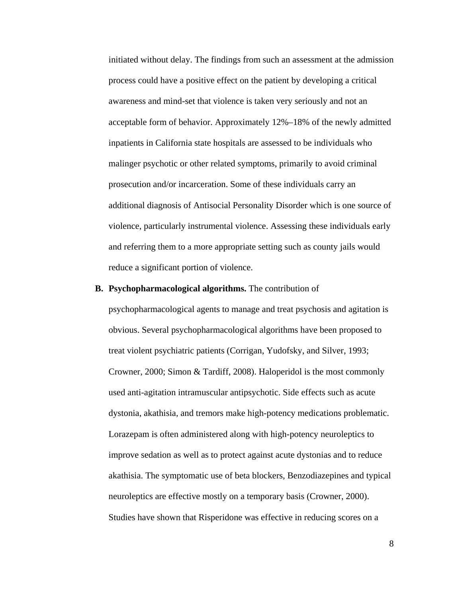initiated without delay. The findings from such an assessment at the admission process could have a positive effect on the patient by developing a critical awareness and mind-set that violence is taken very seriously and not an acceptable form of behavior. Approximately 12%–18% of the newly admitted inpatients in California state hospitals are assessed to be individuals who malinger psychotic or other related symptoms, primarily to avoid criminal prosecution and/or incarceration. Some of these individuals carry an additional diagnosis of Antisocial Personality Disorder which is one source of violence, particularly instrumental violence. Assessing these individuals early and referring them to a more appropriate setting such as county jails would reduce a significant portion of violence.

#### **B. Psychopharmacological algorithms.** The contribution of

psychopharmacological agents to manage and treat psychosis and agitation is obvious. Several psychopharmacological algorithms have been proposed to treat violent psychiatric patients (Corrigan, Yudofsky, and Silver, 1993; Crowner, 2000; Simon & Tardiff, 2008). Haloperidol is the most commonly used anti-agitation intramuscular antipsychotic. Side effects such as acute dystonia, akathisia, and tremors make high-potency medications problematic. Lorazepam is often administered along with high-potency neuroleptics to improve sedation as well as to protect against acute dystonias and to reduce akathisia. The symptomatic use of beta blockers, Benzodiazepines and typical neuroleptics are effective mostly on a temporary basis (Crowner, 2000). Studies have shown that Risperidone was effective in reducing scores on a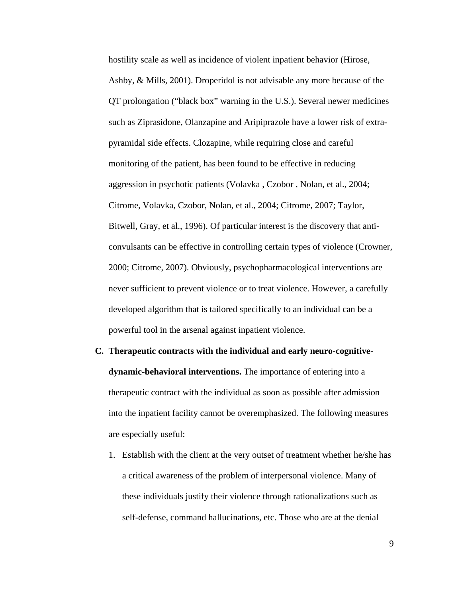hostility scale as well as incidence of violent inpatient behavior (Hirose, Ashby, & Mills, 2001). Droperidol is not advisable any more because of the QT prolongation ("black box" warning in the U.S.). Several newer medicines such as Ziprasidone, Olanzapine and Aripiprazole have a lower risk of extrapyramidal side effects. Clozapine, while requiring close and careful monitoring of the patient, has been found to be effective in reducing aggression in psychotic patients (Volavka , Czobor , Nolan, et al., 2004; Citrome, Volavka, Czobor, Nolan, et al., 2004; Citrome, 2007; Taylor, Bitwell, Gray, et al., 1996). Of particular interest is the discovery that anticonvulsants can be effective in controlling certain types of violence (Crowner, 2000; Citrome, 2007). Obviously, psychopharmacological interventions are never sufficient to prevent violence or to treat violence. However, a carefully developed algorithm that is tailored specifically to an individual can be a powerful tool in the arsenal against inpatient violence.

- **C. Therapeutic contracts with the individual and early neuro-cognitivedynamic-behavioral interventions.** The importance of entering into a therapeutic contract with the individual as soon as possible after admission into the inpatient facility cannot be overemphasized. The following measures are especially useful:
	- 1. Establish with the client at the very outset of treatment whether he/she has a critical awareness of the problem of interpersonal violence. Many of these individuals justify their violence through rationalizations such as self-defense, command hallucinations, etc. Those who are at the denial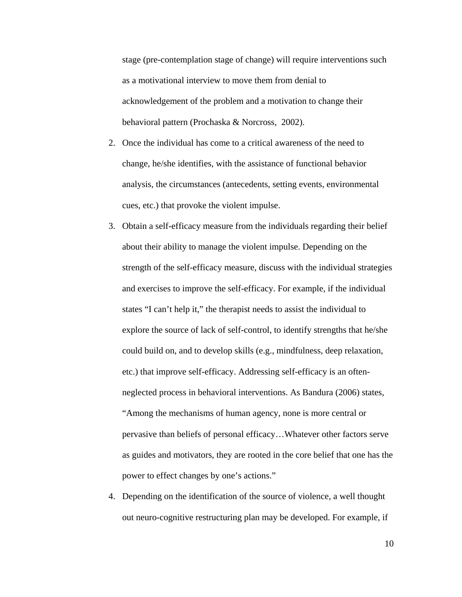stage (pre-contemplation stage of change) will require interventions such as a motivational interview to move them from denial to acknowledgement of the problem and a motivation to change their behavioral pattern (Prochaska & Norcross, 2002).

- 2. Once the individual has come to a critical awareness of the need to change, he/she identifies, with the assistance of functional behavior analysis, the circumstances (antecedents, setting events, environmental cues, etc.) that provoke the violent impulse.
- 3. Obtain a self-efficacy measure from the individuals regarding their belief about their ability to manage the violent impulse. Depending on the strength of the self-efficacy measure, discuss with the individual strategies and exercises to improve the self-efficacy. For example, if the individual states "I can't help it," the therapist needs to assist the individual to explore the source of lack of self-control, to identify strengths that he/she could build on, and to develop skills (e.g., mindfulness, deep relaxation, etc.) that improve self-efficacy. Addressing self-efficacy is an oftenneglected process in behavioral interventions. As Bandura (2006) states, "Among the mechanisms of human agency, none is more central or pervasive than beliefs of personal efficacy…Whatever other factors serve as guides and motivators, they are rooted in the core belief that one has the power to effect changes by one's actions."
- 4. Depending on the identification of the source of violence, a well thought out neuro-cognitive restructuring plan may be developed. For example, if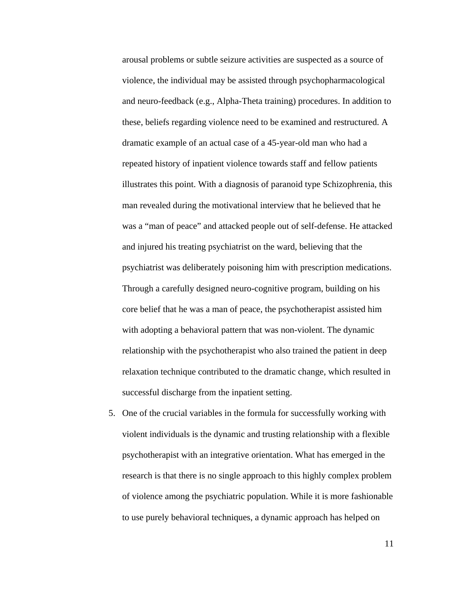arousal problems or subtle seizure activities are suspected as a source of violence, the individual may be assisted through psychopharmacological and neuro-feedback (e.g., Alpha-Theta training) procedures. In addition to these, beliefs regarding violence need to be examined and restructured. A dramatic example of an actual case of a 45-year-old man who had a repeated history of inpatient violence towards staff and fellow patients illustrates this point. With a diagnosis of paranoid type Schizophrenia, this man revealed during the motivational interview that he believed that he was a "man of peace" and attacked people out of self-defense. He attacked and injured his treating psychiatrist on the ward, believing that the psychiatrist was deliberately poisoning him with prescription medications. Through a carefully designed neuro-cognitive program, building on his core belief that he was a man of peace, the psychotherapist assisted him with adopting a behavioral pattern that was non-violent. The dynamic relationship with the psychotherapist who also trained the patient in deep relaxation technique contributed to the dramatic change, which resulted in successful discharge from the inpatient setting.

5. One of the crucial variables in the formula for successfully working with violent individuals is the dynamic and trusting relationship with a flexible psychotherapist with an integrative orientation. What has emerged in the research is that there is no single approach to this highly complex problem of violence among the psychiatric population. While it is more fashionable to use purely behavioral techniques, a dynamic approach has helped on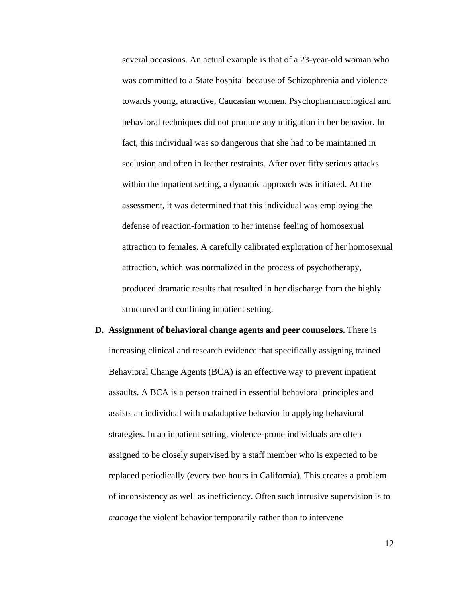several occasions. An actual example is that of a 23-year-old woman who was committed to a State hospital because of Schizophrenia and violence towards young, attractive, Caucasian women. Psychopharmacological and behavioral techniques did not produce any mitigation in her behavior. In fact, this individual was so dangerous that she had to be maintained in seclusion and often in leather restraints. After over fifty serious attacks within the inpatient setting, a dynamic approach was initiated. At the assessment, it was determined that this individual was employing the defense of reaction-formation to her intense feeling of homosexual attraction to females. A carefully calibrated exploration of her homosexual attraction, which was normalized in the process of psychotherapy, produced dramatic results that resulted in her discharge from the highly structured and confining inpatient setting.

**D. Assignment of behavioral change agents and peer counselors.** There is increasing clinical and research evidence that specifically assigning trained Behavioral Change Agents (BCA) is an effective way to prevent inpatient assaults. A BCA is a person trained in essential behavioral principles and assists an individual with maladaptive behavior in applying behavioral strategies. In an inpatient setting, violence-prone individuals are often assigned to be closely supervised by a staff member who is expected to be replaced periodically (every two hours in California). This creates a problem of inconsistency as well as inefficiency. Often such intrusive supervision is to *manage* the violent behavior temporarily rather than to intervene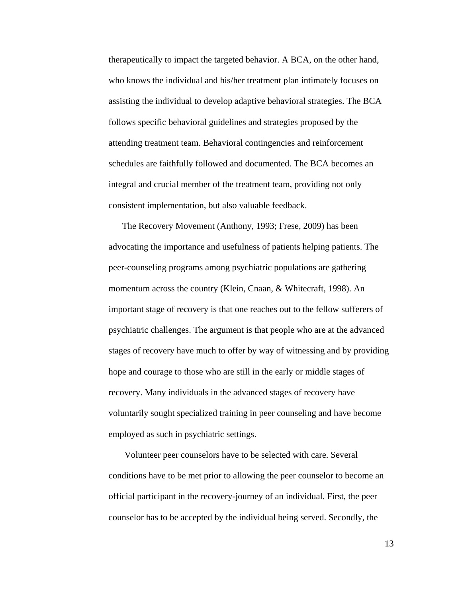therapeutically to impact the targeted behavior. A BCA, on the other hand, who knows the individual and his/her treatment plan intimately focuses on assisting the individual to develop adaptive behavioral strategies. The BCA follows specific behavioral guidelines and strategies proposed by the attending treatment team. Behavioral contingencies and reinforcement schedules are faithfully followed and documented. The BCA becomes an integral and crucial member of the treatment team, providing not only consistent implementation, but also valuable feedback.

The Recovery Movement (Anthony, 1993; Frese, 2009) has been advocating the importance and usefulness of patients helping patients. The peer-counseling programs among psychiatric populations are gathering momentum across the country (Klein, Cnaan, & Whitecraft, 1998). An important stage of recovery is that one reaches out to the fellow sufferers of psychiatric challenges. The argument is that people who are at the advanced stages of recovery have much to offer by way of witnessing and by providing hope and courage to those who are still in the early or middle stages of recovery. Many individuals in the advanced stages of recovery have voluntarily sought specialized training in peer counseling and have become employed as such in psychiatric settings.

 Volunteer peer counselors have to be selected with care. Several conditions have to be met prior to allowing the peer counselor to become an official participant in the recovery-journey of an individual. First, the peer counselor has to be accepted by the individual being served. Secondly, the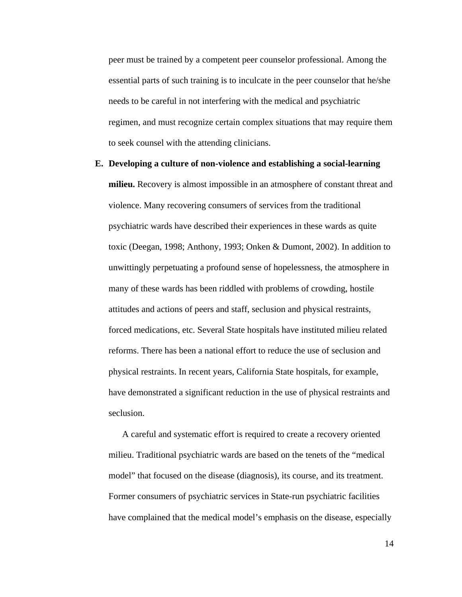peer must be trained by a competent peer counselor professional. Among the essential parts of such training is to inculcate in the peer counselor that he/she needs to be careful in not interfering with the medical and psychiatric regimen, and must recognize certain complex situations that may require them to seek counsel with the attending clinicians.

**E. Developing a culture of non-violence and establishing a social-learning milieu.** Recovery is almost impossible in an atmosphere of constant threat and violence. Many recovering consumers of services from the traditional psychiatric wards have described their experiences in these wards as quite toxic (Deegan, 1998; Anthony, 1993; Onken & Dumont, 2002). In addition to unwittingly perpetuating a profound sense of hopelessness, the atmosphere in many of these wards has been riddled with problems of crowding, hostile attitudes and actions of peers and staff, seclusion and physical restraints, forced medications, etc. Several State hospitals have instituted milieu related reforms. There has been a national effort to reduce the use of seclusion and physical restraints. In recent years, California State hospitals, for example, have demonstrated a significant reduction in the use of physical restraints and seclusion.

A careful and systematic effort is required to create a recovery oriented milieu. Traditional psychiatric wards are based on the tenets of the "medical model" that focused on the disease (diagnosis), its course, and its treatment. Former consumers of psychiatric services in State-run psychiatric facilities have complained that the medical model's emphasis on the disease, especially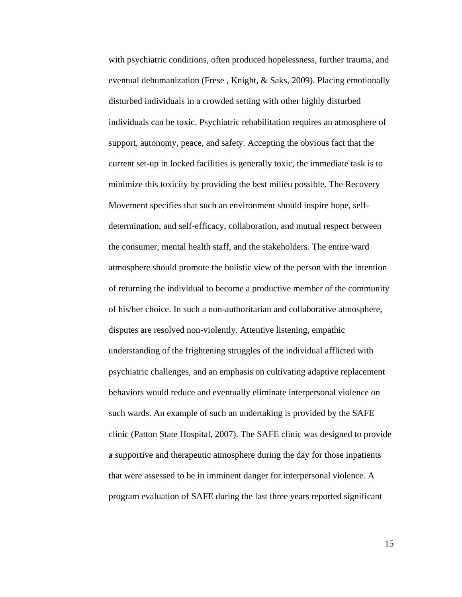with psychiatric conditions, often produced hopelessness, further trauma, and eventual dehumanization (Frese , Knight, & Saks, 2009). Placing emotionally disturbed individuals in a crowded setting with other highly disturbed individuals can be toxic. Psychiatric rehabilitation requires an atmosphere of support, autonomy, peace, and safety. Accepting the obvious fact that the current set-up in locked facilities is generally toxic, the immediate task is to minimize this toxicity by providing the best milieu possible. The Recovery Movement specifies that such an environment should inspire hope, selfdetermination, and self-efficacy, collaboration, and mutual respect between the consumer, mental health staff, and the stakeholders. The entire ward atmosphere should promote the holistic view of the person with the intention of returning the individual to become a productive member of the community of his/her choice. In such a non-authoritarian and collaborative atmosphere, disputes are resolved non-violently. Attentive listening, empathic understanding of the frightening struggles of the individual afflicted with psychiatric challenges, and an emphasis on cultivating adaptive replacement behaviors would reduce and eventually eliminate interpersonal violence on such wards. An example of such an undertaking is provided by the SAFE clinic (Patton State Hospital, 2007). The SAFE clinic was designed to provide a supportive and therapeutic atmosphere during the day for those inpatients that were assessed to be in imminent danger for interpersonal violence. A program evaluation of SAFE during the last three years reported significant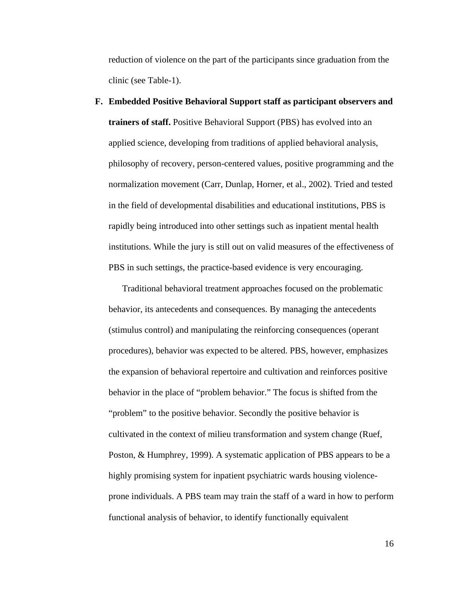reduction of violence on the part of the participants since graduation from the clinic (see Table-1).

**F. Embedded Positive Behavioral Support staff as participant observers and trainers of staff.** Positive Behavioral Support (PBS) has evolved into an applied science, developing from traditions of applied behavioral analysis, philosophy of recovery, person-centered values, positive programming and the normalization movement (Carr, Dunlap, Horner, et al., 2002). Tried and tested in the field of developmental disabilities and educational institutions, PBS is rapidly being introduced into other settings such as inpatient mental health institutions. While the jury is still out on valid measures of the effectiveness of PBS in such settings, the practice-based evidence is very encouraging.

Traditional behavioral treatment approaches focused on the problematic behavior, its antecedents and consequences. By managing the antecedents (stimulus control) and manipulating the reinforcing consequences (operant procedures), behavior was expected to be altered. PBS, however, emphasizes the expansion of behavioral repertoire and cultivation and reinforces positive behavior in the place of "problem behavior." The focus is shifted from the "problem" to the positive behavior. Secondly the positive behavior is cultivated in the context of milieu transformation and system change (Ruef, Poston, & Humphrey, 1999). A systematic application of PBS appears to be a highly promising system for inpatient psychiatric wards housing violenceprone individuals. A PBS team may train the staff of a ward in how to perform functional analysis of behavior, to identify functionally equivalent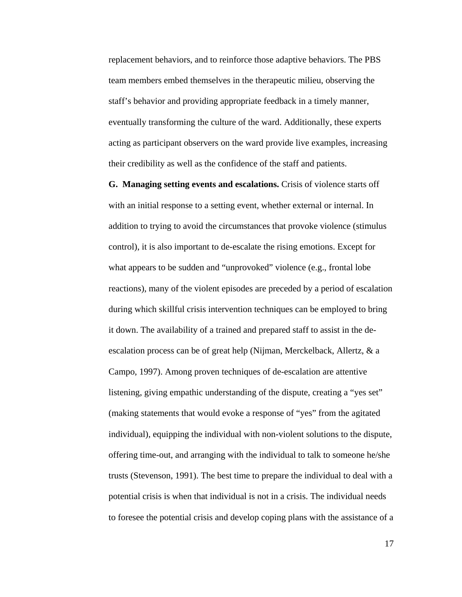replacement behaviors, and to reinforce those adaptive behaviors. The PBS team members embed themselves in the therapeutic milieu, observing the staff's behavior and providing appropriate feedback in a timely manner, eventually transforming the culture of the ward. Additionally, these experts acting as participant observers on the ward provide live examples, increasing their credibility as well as the confidence of the staff and patients.

**G. Managing setting events and escalations.** Crisis of violence starts off with an initial response to a setting event, whether external or internal. In addition to trying to avoid the circumstances that provoke violence (stimulus control), it is also important to de-escalate the rising emotions. Except for what appears to be sudden and "unprovoked" violence (e.g., frontal lobe reactions), many of the violent episodes are preceded by a period of escalation during which skillful crisis intervention techniques can be employed to bring it down. The availability of a trained and prepared staff to assist in the deescalation process can be of great help (Nijman, Merckelback, Allertz, & a Campo, 1997). Among proven techniques of de-escalation are attentive listening, giving empathic understanding of the dispute, creating a "yes set" (making statements that would evoke a response of "yes" from the agitated individual), equipping the individual with non-violent solutions to the dispute, offering time-out, and arranging with the individual to talk to someone he/she trusts (Stevenson, 1991). The best time to prepare the individual to deal with a potential crisis is when that individual is not in a crisis. The individual needs to foresee the potential crisis and develop coping plans with the assistance of a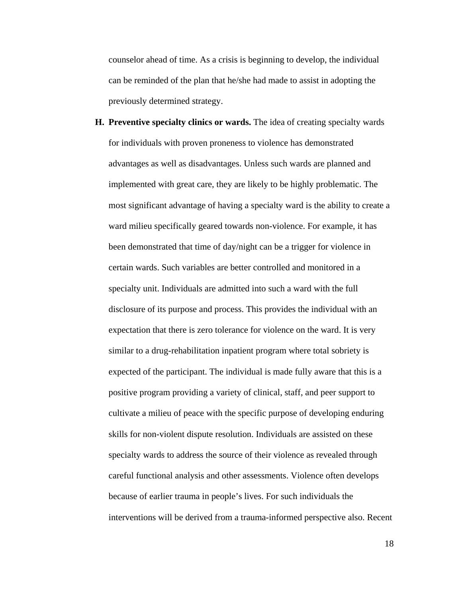counselor ahead of time. As a crisis is beginning to develop, the individual can be reminded of the plan that he/she had made to assist in adopting the previously determined strategy.

**H. Preventive specialty clinics or wards.** The idea of creating specialty wards for individuals with proven proneness to violence has demonstrated advantages as well as disadvantages. Unless such wards are planned and implemented with great care, they are likely to be highly problematic. The most significant advantage of having a specialty ward is the ability to create a ward milieu specifically geared towards non-violence. For example, it has been demonstrated that time of day/night can be a trigger for violence in certain wards. Such variables are better controlled and monitored in a specialty unit. Individuals are admitted into such a ward with the full disclosure of its purpose and process. This provides the individual with an expectation that there is zero tolerance for violence on the ward. It is very similar to a drug-rehabilitation inpatient program where total sobriety is expected of the participant. The individual is made fully aware that this is a positive program providing a variety of clinical, staff, and peer support to cultivate a milieu of peace with the specific purpose of developing enduring skills for non-violent dispute resolution. Individuals are assisted on these specialty wards to address the source of their violence as revealed through careful functional analysis and other assessments. Violence often develops because of earlier trauma in people's lives. For such individuals the interventions will be derived from a trauma-informed perspective also. Recent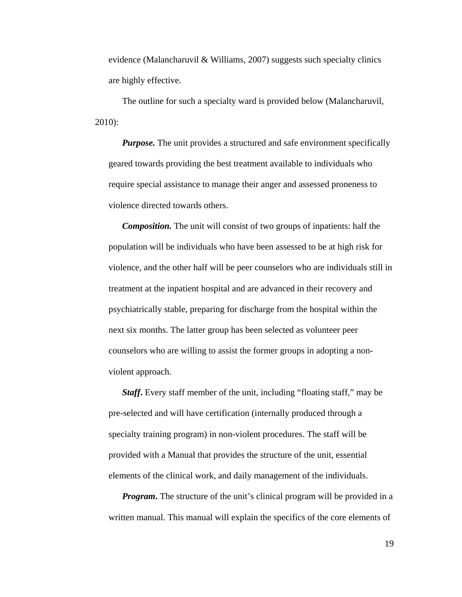evidence (Malancharuvil & Williams, 2007) suggests such specialty clinics are highly effective.

The outline for such a specialty ward is provided below (Malancharuvil, 2010):

*Purpose*. The unit provides a structured and safe environment specifically geared towards providing the best treatment available to individuals who require special assistance to manage their anger and assessed proneness to violence directed towards others.

*Composition.* The unit will consist of two groups of inpatients: half the population will be individuals who have been assessed to be at high risk for violence, and the other half will be peer counselors who are individuals still in treatment at the inpatient hospital and are advanced in their recovery and psychiatrically stable, preparing for discharge from the hospital within the next six months. The latter group has been selected as volunteer peer counselors who are willing to assist the former groups in adopting a nonviolent approach.

*Staff*. Every staff member of the unit, including "floating staff," may be pre-selected and will have certification (internally produced through a specialty training program) in non-violent procedures. The staff will be provided with a Manual that provides the structure of the unit, essential elements of the clinical work, and daily management of the individuals.

*Program*. The structure of the unit's clinical program will be provided in a written manual. This manual will explain the specifics of the core elements of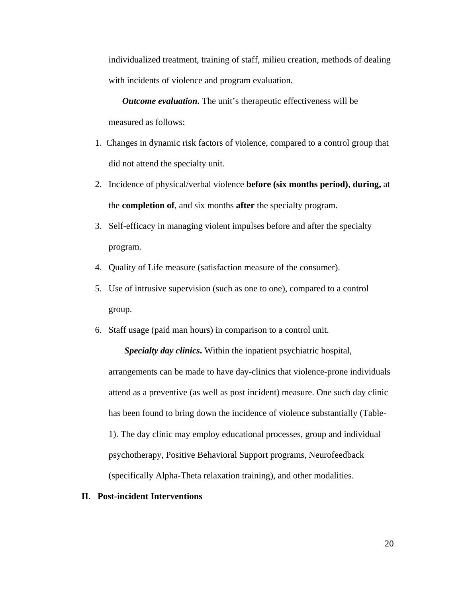individualized treatment, training of staff, milieu creation, methods of dealing with incidents of violence and program evaluation.

*Outcome evaluation***.** The unit's therapeutic effectiveness will be measured as follows:

- 1. Changes in dynamic risk factors of violence, compared to a control group that did not attend the specialty unit.
- 2. Incidence of physical/verbal violence **before (six months period)**, **during,** at the **completion of**, and six months **after** the specialty program.
- 3. Self-efficacy in managing violent impulses before and after the specialty program.
- 4. Quality of Life measure (satisfaction measure of the consumer).
- 5. Use of intrusive supervision (such as one to one), compared to a control group.
- 6. Staff usage (paid man hours) in comparison to a control unit.

*Specialty day clinics***.** Within the inpatient psychiatric hospital, arrangements can be made to have day-clinics that violence-prone individuals attend as a preventive (as well as post incident) measure. One such day clinic has been found to bring down the incidence of violence substantially (Table-1). The day clinic may employ educational processes, group and individual psychotherapy, Positive Behavioral Support programs, Neurofeedback (specifically Alpha-Theta relaxation training), and other modalities.

**II**. **Post-incident Interventions**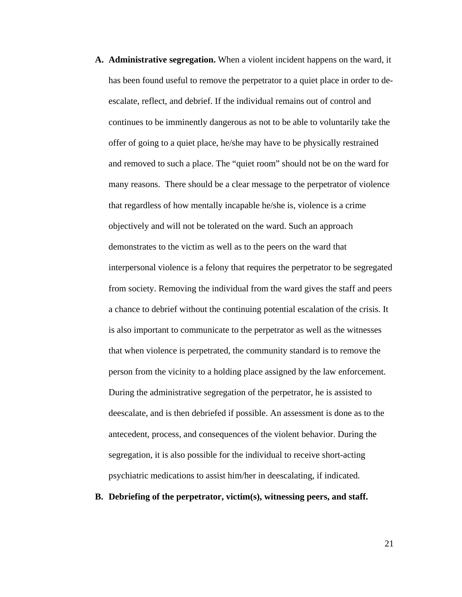- **A. Administrative segregation.** When a violent incident happens on the ward, it has been found useful to remove the perpetrator to a quiet place in order to deescalate, reflect, and debrief. If the individual remains out of control and continues to be imminently dangerous as not to be able to voluntarily take the offer of going to a quiet place, he/she may have to be physically restrained and removed to such a place. The "quiet room" should not be on the ward for many reasons. There should be a clear message to the perpetrator of violence that regardless of how mentally incapable he/she is, violence is a crime objectively and will not be tolerated on the ward. Such an approach demonstrates to the victim as well as to the peers on the ward that interpersonal violence is a felony that requires the perpetrator to be segregated from society. Removing the individual from the ward gives the staff and peers a chance to debrief without the continuing potential escalation of the crisis. It is also important to communicate to the perpetrator as well as the witnesses that when violence is perpetrated, the community standard is to remove the person from the vicinity to a holding place assigned by the law enforcement. During the administrative segregation of the perpetrator, he is assisted to deescalate, and is then debriefed if possible. An assessment is done as to the antecedent, process, and consequences of the violent behavior. During the segregation, it is also possible for the individual to receive short-acting psychiatric medications to assist him/her in deescalating, if indicated.
- **B. Debriefing of the perpetrator, victim(s), witnessing peers, and staff.**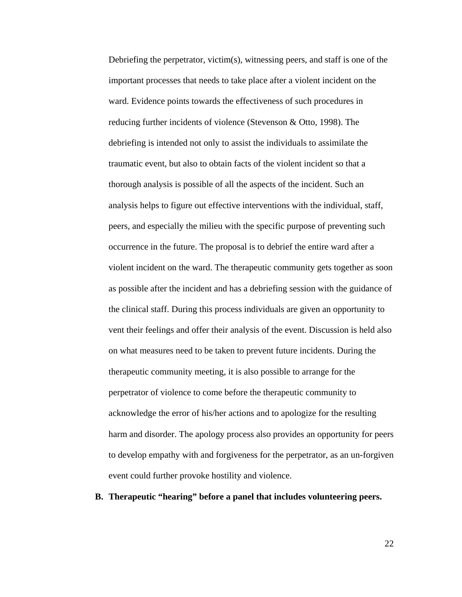Debriefing the perpetrator, victim(s), witnessing peers, and staff is one of the important processes that needs to take place after a violent incident on the ward. Evidence points towards the effectiveness of such procedures in reducing further incidents of violence (Stevenson & Otto, 1998). The debriefing is intended not only to assist the individuals to assimilate the traumatic event, but also to obtain facts of the violent incident so that a thorough analysis is possible of all the aspects of the incident. Such an analysis helps to figure out effective interventions with the individual, staff, peers, and especially the milieu with the specific purpose of preventing such occurrence in the future. The proposal is to debrief the entire ward after a violent incident on the ward. The therapeutic community gets together as soon as possible after the incident and has a debriefing session with the guidance of the clinical staff. During this process individuals are given an opportunity to vent their feelings and offer their analysis of the event. Discussion is held also on what measures need to be taken to prevent future incidents. During the therapeutic community meeting, it is also possible to arrange for the perpetrator of violence to come before the therapeutic community to acknowledge the error of his/her actions and to apologize for the resulting harm and disorder. The apology process also provides an opportunity for peers to develop empathy with and forgiveness for the perpetrator, as an un-forgiven event could further provoke hostility and violence.

**B. Therapeutic "hearing" before a panel that includes volunteering peers.**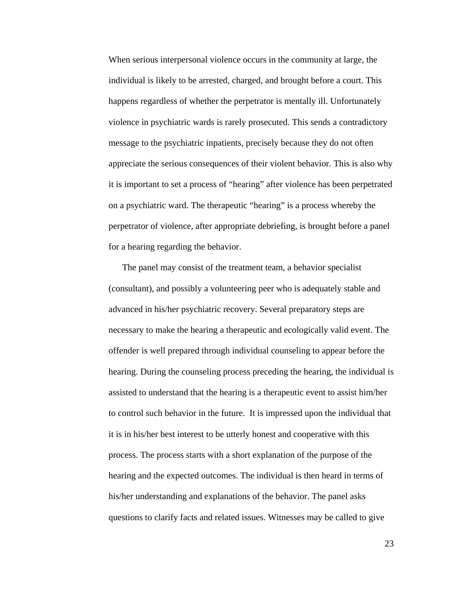When serious interpersonal violence occurs in the community at large, the individual is likely to be arrested, charged, and brought before a court. This happens regardless of whether the perpetrator is mentally ill. Unfortunately violence in psychiatric wards is rarely prosecuted. This sends a contradictory message to the psychiatric inpatients, precisely because they do not often appreciate the serious consequences of their violent behavior. This is also why it is important to set a process of "hearing" after violence has been perpetrated on a psychiatric ward. The therapeutic "hearing" is a process whereby the perpetrator of violence, after appropriate debriefing, is brought before a panel for a hearing regarding the behavior.

The panel may consist of the treatment team, a behavior specialist (consultant), and possibly a volunteering peer who is adequately stable and advanced in his/her psychiatric recovery. Several preparatory steps are necessary to make the hearing a therapeutic and ecologically valid event. The offender is well prepared through individual counseling to appear before the hearing. During the counseling process preceding the hearing, the individual is assisted to understand that the hearing is a therapeutic event to assist him/her to control such behavior in the future. It is impressed upon the individual that it is in his/her best interest to be utterly honest and cooperative with this process. The process starts with a short explanation of the purpose of the hearing and the expected outcomes. The individual is then heard in terms of his/her understanding and explanations of the behavior. The panel asks questions to clarify facts and related issues. Witnesses may be called to give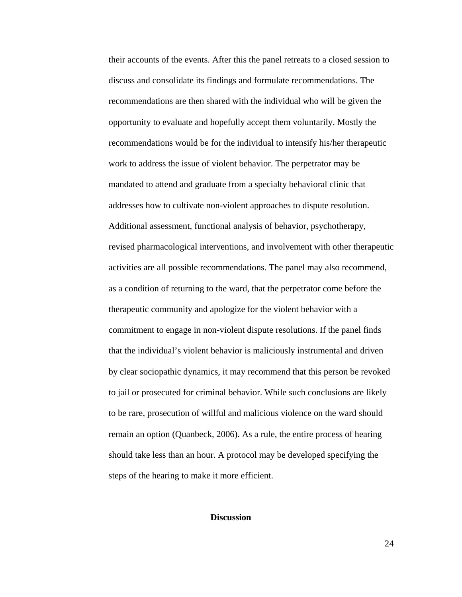their accounts of the events. After this the panel retreats to a closed session to discuss and consolidate its findings and formulate recommendations. The recommendations are then shared with the individual who will be given the opportunity to evaluate and hopefully accept them voluntarily. Mostly the recommendations would be for the individual to intensify his/her therapeutic work to address the issue of violent behavior. The perpetrator may be mandated to attend and graduate from a specialty behavioral clinic that addresses how to cultivate non-violent approaches to dispute resolution. Additional assessment, functional analysis of behavior, psychotherapy, revised pharmacological interventions, and involvement with other therapeutic activities are all possible recommendations. The panel may also recommend, as a condition of returning to the ward, that the perpetrator come before the therapeutic community and apologize for the violent behavior with a commitment to engage in non-violent dispute resolutions. If the panel finds that the individual's violent behavior is maliciously instrumental and driven by clear sociopathic dynamics, it may recommend that this person be revoked to jail or prosecuted for criminal behavior. While such conclusions are likely to be rare, prosecution of willful and malicious violence on the ward should remain an option (Quanbeck, 2006). As a rule, the entire process of hearing should take less than an hour. A protocol may be developed specifying the steps of the hearing to make it more efficient.

#### **Discussion**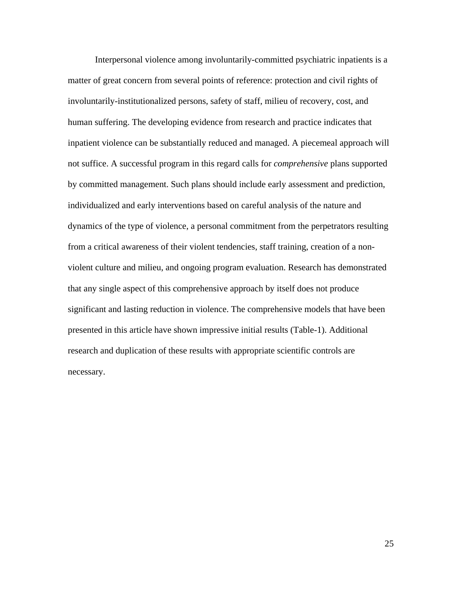Interpersonal violence among involuntarily-committed psychiatric inpatients is a matter of great concern from several points of reference: protection and civil rights of involuntarily-institutionalized persons, safety of staff, milieu of recovery, cost, and human suffering. The developing evidence from research and practice indicates that inpatient violence can be substantially reduced and managed. A piecemeal approach will not suffice. A successful program in this regard calls for *comprehensive* plans supported by committed management. Such plans should include early assessment and prediction, individualized and early interventions based on careful analysis of the nature and dynamics of the type of violence, a personal commitment from the perpetrators resulting from a critical awareness of their violent tendencies, staff training, creation of a nonviolent culture and milieu, and ongoing program evaluation. Research has demonstrated that any single aspect of this comprehensive approach by itself does not produce significant and lasting reduction in violence. The comprehensive models that have been presented in this article have shown impressive initial results (Table-1). Additional research and duplication of these results with appropriate scientific controls are necessary.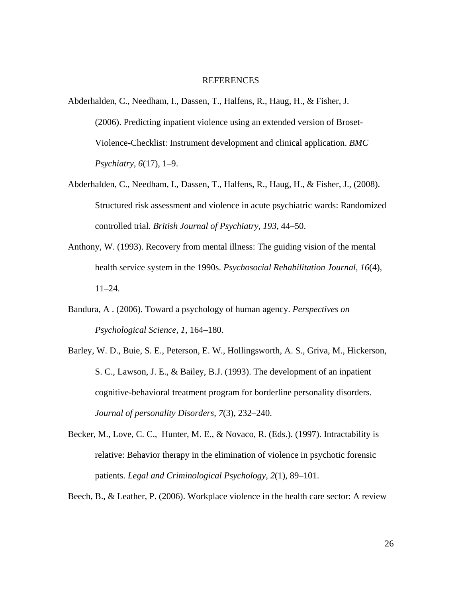#### REFERENCES

- Abderhalden, C., Needham, I., Dassen, T., Halfens, R., Haug, H., & Fisher, J. (2006). Predicting inpatient violence using an extended version of Broset-Violence-Checklist: Instrument development and clinical application. *BMC Psychiatry, 6*(17), 1–9.
- Abderhalden, C., Needham, I., Dassen, T., Halfens, R., Haug, H., & Fisher, J., (2008). Structured risk assessment and violence in acute psychiatric wards: Randomized controlled trial. *British Journal of Psychiatry, 193*, 44–50.
- Anthony, W. (1993). Recovery from mental illness: The guiding vision of the mental health service system in the 1990s. *Psychosocial Rehabilitation Journal, 16*(4), 11–24.
- Bandura, A . (2006). Toward a psychology of human agency. *Perspectives on Psychological Science, 1*, 164–180.
- Barley, W. D., Buie, S. E., Peterson, E. W., Hollingsworth, A. S., Griva, M., Hickerson, S. C., Lawson, J. E., & Bailey, B.J. (1993). The development of an inpatient cognitive-behavioral treatment program for borderline personality disorders. *Journal of personality Disorders, 7*(3), 232–240.
- Becker, M., Love, C. C., Hunter, M. E., & Novaco, R. (Eds.). (1997). Intractability is relative: Behavior therapy in the elimination of violence in psychotic forensic patients. *Legal and Criminological Psychology, 2*(1), 89–101.
- Beech, B., & Leather, P. (2006). Workplace violence in the health care sector: A review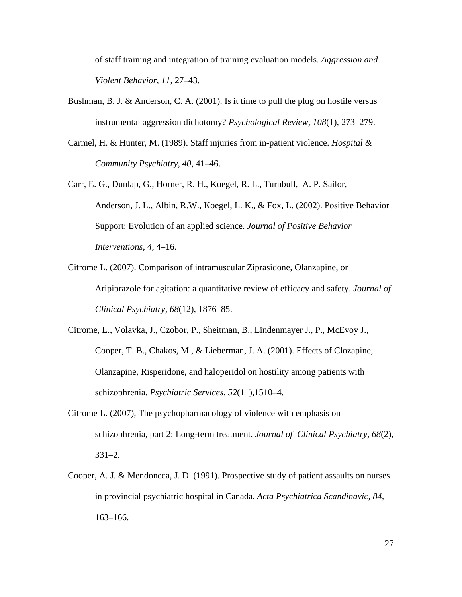of staff training and integration of training evaluation models. *Aggression and Violent Behavior, 11*, 27–43.

- Bushman, B. J. & Anderson, C. A. (2001). Is it time to pull the plug on hostile versus instrumental aggression dichotomy? *Psychological Review, 108*(1), 273–279.
- Carmel, H. & Hunter, M. (1989). Staff injuries from in-patient violence. *Hospital & Community Psychiatry, 40*, 41–46.
- Carr, E. G., Dunlap, G., Horner, R. H., Koegel, R. L., Turnbull, A. P. Sailor, Anderson, J. L., Albin, R.W., Koegel, L. K., & Fox, L. (2002). Positive Behavior Support: Evolution of an applied science. *Journal of Positive Behavior Interventions, 4,* 4–16*.*
- Citrome L. (2007). Comparison of intramuscular Ziprasidone, Olanzapine, or Aripiprazole for agitation: a quantitative review of efficacy and safety. *Journal of Clinical Psychiatry, 68*(12), 1876–85.
- Citrome, L., Volavka, J., Czobor, P., Sheitman, B., Lindenmayer J., P., McEvoy J., Cooper, T. B., Chakos, M., & Lieberman, J. A. (2001). Effects of Clozapine, Olanzapine, Risperidone, and haloperidol on hostility among patients with schizophrenia. *Psychiatric Services, 52*(11),1510–4.
- Citrome L. (2007), The psychopharmacology of violence with emphasis on schizophrenia, part 2: Long-term treatment. *Journal of Clinical Psychiatry, 68*(2), 331–2.
- Cooper, A. J. & Mendoneca, J. D. (1991). Prospective study of patient assaults on nurses in provincial psychiatric hospital in Canada. *Acta Psychiatrica Scandinavic, 84,* 163–166.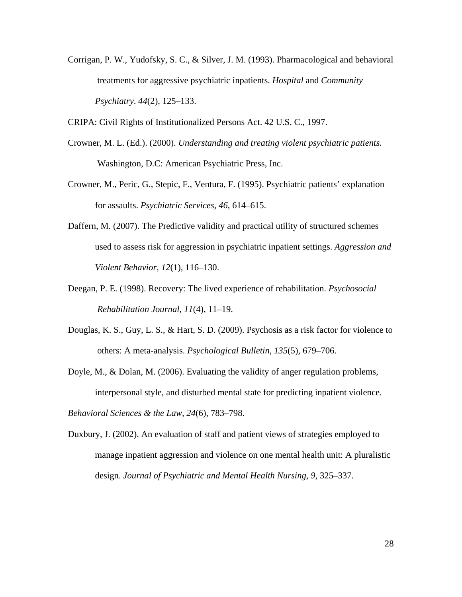Corrigan, P. W., Yudofsky, S. C., & Silver, J. M. (1993). Pharmacological and behavioral treatments for aggressive psychiatric inpatients. *Hospital* and *Community Psychiatry*. *44*(2), 125–133.

CRIPA: Civil Rights of Institutionalized Persons Act. 42 U.S. C., 1997.

- Crowner, M. L. (Ed.). (2000). *Understanding and treating violent psychiatric patients.*  Washington, D.C: American Psychiatric Press, Inc.
- Crowner, M., Peric, G., Stepic, F., Ventura, F. (1995). Psychiatric patients' explanation for assaults. *Psychiatric Services, 46*, 614–615.
- Daffern, M. (2007). The Predictive validity and practical utility of structured schemes used to assess risk for aggression in psychiatric inpatient settings. *Aggression and Violent Behavior, 12*(1), 116–130.
- Deegan, P. E. (1998). Recovery: The lived experience of rehabilitation. *Psychosocial Rehabilitation Journal, 11*(4), 11–19.
- Douglas, K. S., Guy, L. S., & Hart, S. D. (2009). Psychosis as a risk factor for violence to others: A meta-analysis. *Psychological Bulletin*, *135*(5), 679–706.
- Doyle, M., & Dolan, M. (2006). Evaluating the validity of anger regulation problems, interpersonal style, and disturbed mental state for predicting inpatient violence.

*Behavioral Sciences & the Law, 24*(6), 783–798.

Duxbury, J. (2002). An evaluation of staff and patient views of strategies employed to manage inpatient aggression and violence on one mental health unit: A pluralistic design. *Journal of Psychiatric and Mental Health Nursing*, *9*, 325–337.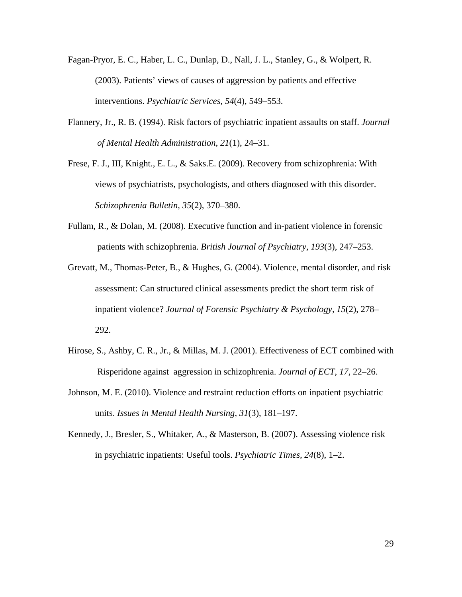- Fagan-Pryor, E. C., Haber, L. C., Dunlap, D., Nall, J. L., Stanley, G., & Wolpert, R. (2003). Patients' views of causes of aggression by patients and effective interventions. *Psychiatric Services, 54*(4), 549–553.
- Flannery, Jr., R. B. (1994). Risk factors of psychiatric inpatient assaults on staff. *Journal of Mental Health Administration, 21*(1), 24–31.
- Frese, F. J., III, Knight., E. L., & Saks.E. (2009). Recovery from schizophrenia: With views of psychiatrists, psychologists, and others diagnosed with this disorder. *Schizophrenia Bulletin, 35*(2), 370–380.
- Fullam, R., & Dolan, M. (2008). Executive function and in-patient violence in forensic patients with schizophrenia. *British Journal of Psychiatry, 193*(3), 247–253.
- Grevatt, M., Thomas-Peter, B., & Hughes, G. (2004). Violence, mental disorder, and risk assessment: Can structured clinical assessments predict the short term risk of inpatient violence? *Journal of Forensic Psychiatry & Psychology, 15*(2), 278– 292.
- Hirose, S., Ashby, C. R., Jr., & Millas, M. J. (2001). Effectiveness of ECT combined with Risperidone against aggression in schizophrenia. *Journal of ECT*, *17*, 22–26.
- Johnson, M. E. (2010). Violence and restraint reduction efforts on inpatient psychiatric units. *Issues in Mental Health Nursing*, *31*(3), 181–197.
- Kennedy, J., Bresler, S., Whitaker, A., & Masterson, B. (2007). Assessing violence risk in psychiatric inpatients: Useful tools. *Psychiatric Times, 24*(8), 1–2.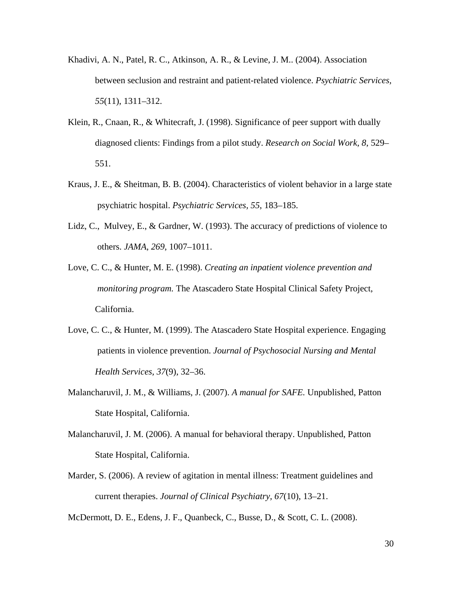- Khadivi, A. N., Patel, R. C., Atkinson, A. R., & Levine, J. M.. (2004). Association between seclusion and restraint and patient-related violence. *Psychiatric Services, 55*(11), 1311–312.
- Klein, R., Cnaan, R., & Whitecraft, J. (1998). Significance of peer support with dually diagnosed clients: Findings from a pilot study. *Research on Social Work, 8*, 529– 551.
- Kraus, J. E., & Sheitman, B. B. (2004). Characteristics of violent behavior in a large state psychiatric hospital. *Psychiatric Services, 55*, 183–185.
- Lidz, C., Mulvey, E., & Gardner, W. (1993). The accuracy of predictions of violence to others. *JAMA*, *269*, 1007–1011.
- Love, C. C., & Hunter, M. E. (1998). *Creating an inpatient violence prevention and monitoring program.* The Atascadero State Hospital Clinical Safety Project, California.
- Love, C. C., & Hunter, M. (1999). The Atascadero State Hospital experience. Engaging patients in violence prevention. *Journal of Psychosocial Nursing and Mental Health Services, 37*(9), 32–36.
- Malancharuvil, J. M., & Williams, J. (2007). *A manual for SAFE.* Unpublished, Patton State Hospital, California.
- Malancharuvil, J. M. (2006). A manual for behavioral therapy. Unpublished, Patton State Hospital, California.
- Marder, S. (2006). A review of agitation in mental illness: Treatment guidelines and current therapies. *Journal of Clinical Psychiatry, 67*(10), 13–21.

McDermott, D. E., Edens, J. F., Quanbeck, C., Busse, D., & Scott, C. L. (2008).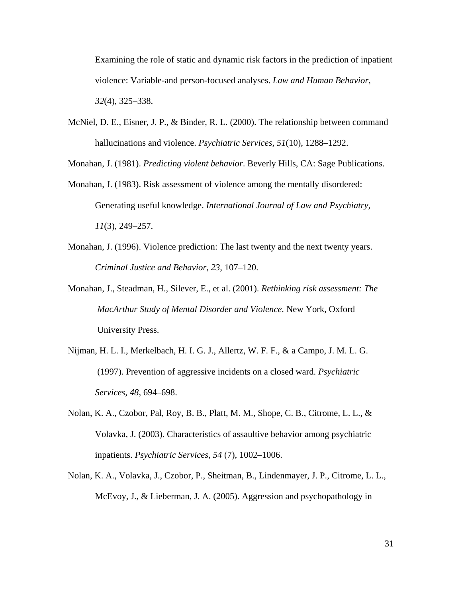Examining the role of static and dynamic risk factors in the prediction of inpatient violence: Variable-and person-focused analyses. *Law and Human Behavior, 32*(4), 325–338.

McNiel, D. E., Eisner, J. P., & Binder, R. L. (2000). The relationship between command hallucinations and violence. *Psychiatric Services, 51*(10), 1288–1292.

Monahan, J. (1981). *Predicting violent behavior*. Beverly Hills, CA: Sage Publications.

- Monahan, J. (1983). Risk assessment of violence among the mentally disordered: Generating useful knowledge. *International Journal of Law and Psychiatry, 11*(3), 249–257.
- Monahan, J. (1996). Violence prediction: The last twenty and the next twenty years. *Criminal Justice and Behavior, 23,* 107–120.
- Monahan, J., Steadman, H., Silever, E., et al. (2001). *Rethinking risk assessment: The MacArthur Study of Mental Disorder and Violence.* New York, Oxford University Press.
- Nijman, H. L. I., Merkelbach, H. I. G. J., Allertz, W. F. F., & a Campo, J. M. L. G. (1997). Prevention of aggressive incidents on a closed ward. *Psychiatric Services, 48*, 694–698.
- Nolan, K. A., Czobor, Pal, Roy, B. B., Platt, M. M., Shope, C. B., Citrome, L. L., & Volavka, J. (2003). Characteristics of assaultive behavior among psychiatric inpatients. *Psychiatric Services, 54* (7), 1002–1006.
- Nolan, K. A., Volavka, J., Czobor, P., Sheitman, B., Lindenmayer, J. P., Citrome, L. L., McEvoy, J., & Lieberman, J. A. (2005). Aggression and psychopathology in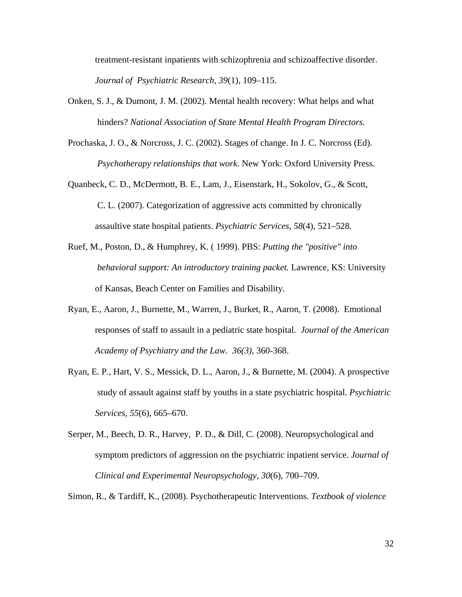treatment-resistant inpatients with schizophrenia and schizoaffective disorder. *Journal of Psychiatric Research, 39*(1), 109–115.

- Onken, S. J., & Dumont, J. M. (2002). Mental health recovery: What helps and what hinders? *National Association of State Mental Health Program Directors.*
- Prochaska, J. O., & Norcross, J. C. (2002). Stages of change. In J. C. Norcross (Ed). *Psychotherapy relationships that work*. New York: Oxford University Press.
- Quanbeck, C. D., McDermott, B. E., Lam, J., Eisenstark, H., Sokolov, G., & Scott, C. L. (2007). Categorization of aggressive acts committed by chronically assaultive state hospital patients. *Psychiatric Services, 58*(4), 521–528.
- Ruef, M., Poston, D., & Humphrey, K. ( 1999). PBS: *Putting the "positive" into behavioral support: An introductory training packet.* Lawrence, KS: University of Kansas, Beach Center on Families and Disability.
- Ryan, E., Aaron, J., Burnette, M., Warren, J., Burket, R., Aaron, T. (2008). Emotional responses of staff to assault in a pediatric state hospital. *Journal of the American Academy of Psychiatry and the Law. 36(3),* 360-368.
- Ryan, E. P., Hart, V. S., Messick, D. L., Aaron, J., & Burnette, M. (2004). A prospective study of assault against staff by youths in a state psychiatric hospital. *Psychiatric Services, 55*(6), 665–670.
- Serper, M., Beech, D. R., Harvey, P. D., & Dill, C. (2008). Neuropsychological and symptom predictors of aggression on the psychiatric inpatient service. *Journal of Clinical and Experimental Neuropsychology*, *30*(6), 700–709.

Simon, R., & Tardiff, K., (2008). Psychotherapeutic Interventions. *Textbook of violence*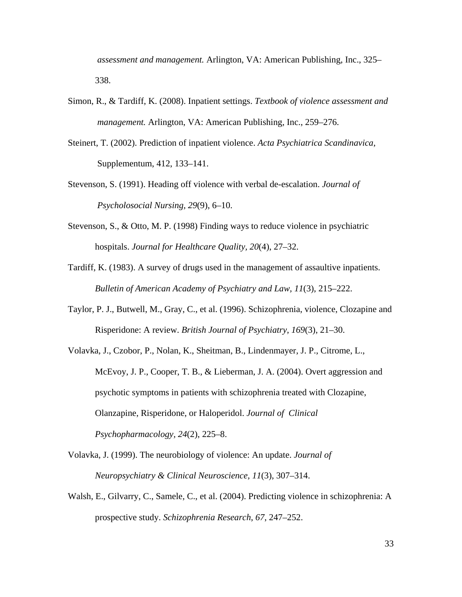*assessment and management.* Arlington, VA: American Publishing, Inc., 325– 338.

- Simon, R., & Tardiff, K. (2008). Inpatient settings. *Textbook of violence assessment and management.* Arlington, VA: American Publishing, Inc., 259–276.
- Steinert, T. (2002). Prediction of inpatient violence. *Acta Psychiatrica Scandinavica*, Supplementum, 412, 133–141.
- Stevenson, S. (1991). Heading off violence with verbal de-escalation. *Journal of Psycholosocial Nursing, 29*(9), 6–10.
- Stevenson, S., & Otto, M. P. (1998) Finding ways to reduce violence in psychiatric hospitals. *Journal for Healthcare Quality, 20*(4), 27–32.
- Tardiff, K. (1983). A survey of drugs used in the management of assaultive inpatients. *Bulletin of American Academy of Psychiatry and Law, 11*(3), 215–222.
- Taylor, P. J., Butwell, M., Gray, C., et al. (1996). Schizophrenia, violence, Clozapine and Risperidone: A review. *British Journal of Psychiatry*, *169*(3), 21–30.
- Volavka, J., Czobor, P., Nolan, K., Sheitman, B., Lindenmayer, J. P., Citrome, L., McEvoy, J. P., Cooper, T. B., & Lieberman, J. A. (2004). Overt aggression and psychotic symptoms in patients with schizophrenia treated with Clozapine, Olanzapine, Risperidone, or Haloperidol. *Journal of Clinical Psychopharmacology, 24*(2), 225–8.
- Volavka, J. (1999). The neurobiology of violence: An update. *Journal of Neuropsychiatry & Clinical Neuroscience, 11*(3), 307–314.
- Walsh, E., Gilvarry, C., Samele, C., et al. (2004). Predicting violence in schizophrenia: A prospective study. *Schizophrenia Research*, *67*, 247–252.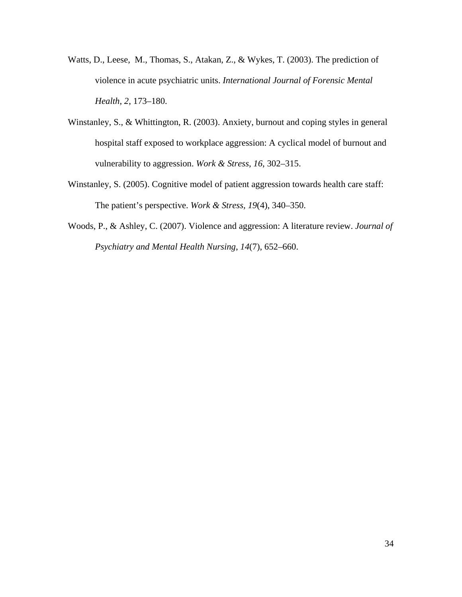- Watts, D., Leese, M., Thomas, S., Atakan, Z., & Wykes, T. (2003). The prediction of violence in acute psychiatric units. *International Journal of Forensic Mental Health*, *2*, 173–180.
- Winstanley, S., & Whittington, R. (2003). Anxiety, burnout and coping styles in general hospital staff exposed to workplace aggression: A cyclical model of burnout and vulnerability to aggression. *Work & Stress*, *16*, 302–315.
- Winstanley, S. (2005). Cognitive model of patient aggression towards health care staff: The patient's perspective. *Work & Stress, 19*(4), 340–350.
- Woods, P., & Ashley, C. (2007). Violence and aggression: A literature review. *Journal of Psychiatry and Mental Health Nursing*, *14*(7), 652–660.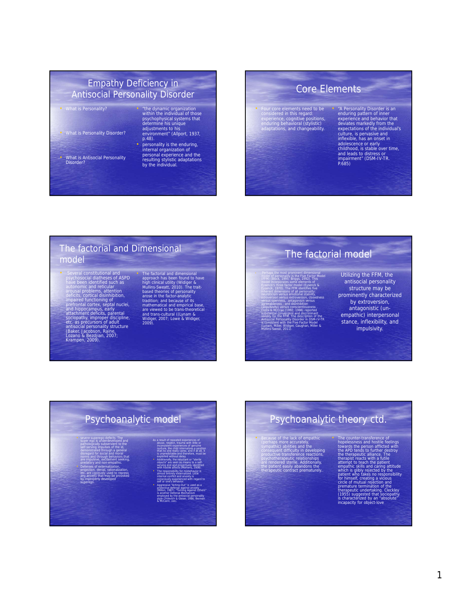#### Empathy Deficiency in Antisocial Personality Disorder

#### • What is Personality?

- What is Personality Disorder?
- 
- What is Antisocial Personality Disorder?

#### • "the dynamic organization within the individual of those psychophysical systems that determine his unique adjustments to his environment" (Allport, 1937, p.48).

• personality is the enduring, internal organization of personal experience and the resulting stylistic adaptations by the individual.

## Core Elements

• Four core elements need to be considered in this regard: experience, cognitive positions, enduring behavioral (stylistic) adaptations, and changeability.

• "A Personality Disorder is an enduring pattern of inner experience and behavior that<br>deviates markedly from the<br>expectations of the individual's<br>culture, is pervasive and<br>inflexible, has an onset in<br>addescence or early<br>childhood, is stable over time,<br>and leads to distress or<br>im

#### The factorial and Dimensional model

• Several constitutional and<br>psychosocial diatheses of ASPD<br>axe been identified such as<br>autonomic and reticular<br>arousal problems, attention<br>deficits, cortical disinfibition,<br>impaired tunctioning of<br>performal corresponding

• The factorial and dimensional<br>approach has been found to have<br>high clinical utility (Widiger &<br>Mullins-Sweatt, 2010). The trait-<br>areas in the factor-analytic<br>areas in the factor-analytic<br>tradition: and because of its<br>mat

## The factorial model

Perhaps the most prominent dimensional<br>conditions and personality is the Five Factor Model<br>(FFM) (Block, 1995: Briggs, 1992). This<br>Eysenck, Shree factor model (Eysenck, 8<br>Eysenck, 1970). The FFM identifies five<br>inherent di

introversion versus extroversion, closedness versus openness, antagonism versus agreeableness , and disinhibition

(impulsivity) versus conscientiousness<br>Costa & McCrae (1992, 1998) reported<br>substantial convergent and discriminant<br>validity for the FFM. The description of the<br>Antisocial Personality Disorder in DSM-IV-TR<br>is consistent wi

Utilizing the FFM, the antisocial personality structure may be prominently characterized by extroversion, antagonistic (unempathic) interpersonal stance, inflexibility, and impulsivity.

## Psychoanalytic model

#### • severe superego-defects. The super ego is underdeveloped and pathologically subservient to the self-serving impulses of the id, demonstrated through a general As a result of repeated experiences of abuse, neglect, trauma with little or inconsisteñt experiences of genuine<br>nurture, the child internalizes a position<br>that no one really cares; and if at all, it

disregard for social and moral norms and through behaviors that are impulsive, excitement seeking, predatory and non-empathic. • Defenses of externalization,

projection, denial, rationalization, etc. are copiously used to repress any anxiety that may be provoked by improperly developed

superego.

is unpredictable and therefore, must be<br>exploited without delay.<br>Additionally, the reluctant or "stering<br>bijects" are seen as means to a self-<br>serving end and projectively identified<br>with hostlie affects (Martens, 2008).<br>T

self or one's behavior.<br>• Aggressive "Acting-Out" is used as a<br>protective defense against anxiety<br>is another Defense against anisely<br>is another Defense Mechanism<br>employed by the antisocial personality<br>style (Inliewich & Gl

## Psychoanalytic theory ctd.

• Because of the lack of empathic<br>(septaps more accurately,<br>sympathic) abilities and the<br>consequent difficulty in developing<br>productive transference reactions,<br>psychotherapeutic relationships<br>are rendered sterile. Addition

The counter-transference of<br>the constrained beyond the proposeness and bostile feelings<br>towards the person afflicted with<br>the APD rends to further elstrory<br>the therapsit casts with a fulle element to leach the patient<br>atte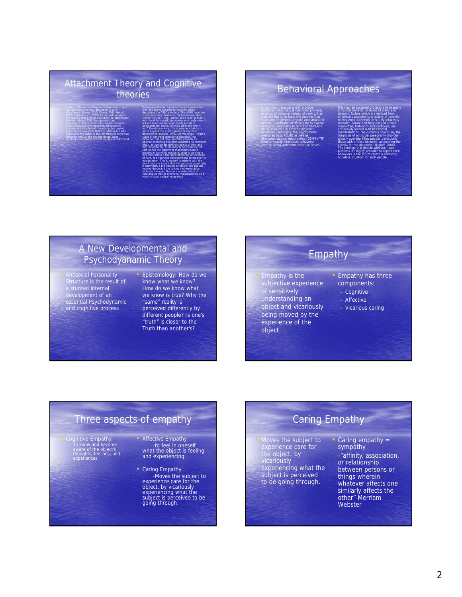#### Attachment Theory and Cognitive theories • Antisocial Personality Disorder is theorized to be a consequence of serious disruption in early attachment (Shaver, 2011; Dozier, 2008; Nottell, 2002; Holland et al., 1993). In the last ten years the position that ASPD is essentially an attachment • Developmental and cognitive theories are not far from the above dynamic formulation when describing the ASPD structure. The ASPD cognitive structure is described as an "active independent

disorder (Meloy, 2002) has gained some prominence. There is much in common between the psychoanalytically based object-relations theories and attachment theories in this regard. The common ground is that the relationship with others and the ability to feel for others is somehow<br>disrupted early in the developmental stage, creating an antisocial personality style in adulthood. stance" (Millon, 1996), where one's belief is that "I must fend for myself, because no one really cares. I will not have another opportunity (as life is unpredictable) and must strike while the iron is hot". Developmentally, this is seen as a failure to move beyond the latency period of cognitive development (Kegan, 1986). At this stage (Piaget's stage of concrete operational thought), the individual has not developed the capacity for abstract reasoning and generalizations, to construct ideals, to coordinate different points of view and most importantly to de-identify one's needs from self. Hence the statement that adolescence is missing in the ASPD structure. What is striking in this formulation is the declaration that at the heart of ASPD is a cognitive developmental arrest prior to adolescence. This is entirely consistent with the psychoanalytic insight that the antisocial personality is essentially a pre-oedipal condition. The pseudo independence and the callous and exploitative attitudes towards others is a manifestation of

cognitive as well as emotional maladjustment as a result of poor oedipal integration

## Behavioral Approaches

• In common parlance and in practice, antisocial personality is described primarily in terms of behavior instead of seeing it as trait. On the other hand the theories that speculate on genetic, organic and structural defects (constitutional defect) try to explain antisocial personality in terms of traits and being. However, in order to diagnose antisocial personality, the psychometric measures (e.g. PCL-R) as well as phenomenological descriptions (DSM-IV-TR)<br>tend to heavily emphasize behavioral<br>criteria, along with some affective issues.

• It is now an accepted procedure to examine antisocial behavior in terms of static and dynamic factors which are derived from empirical associations. A history of juvenile delinquency, Attention Deficit Hyperactivity Disorder, nature and frequency of crimes committed, history of incarcerations, etc. are heavily loaded with behavioral manifestations. "As currently construed, the diagnosis of antisocial personality disorder grossly over-identifies people, particularly those with offense histories, as meeting the criteria for the diagnosis" (Ogloff, 2006). The findings that people with such past patterns are highly probable to repeat their behaviors in the future create a relatively

hopeless situation for such people.

#### A New Developmental and Psychodyanamic Theory

• Antisocial Personality Structure is the result of a stunted internal development of an essential Psychodynamic and cognitive process

#### • Epistemology: How do we know what we know? How do we know what we know is true? Why the "same" reality is perceived differently by different people? Is one's "truth" is closer to the Truth than another's?

## Empathy

• Empathy is the subjective experience of sensitively understanding an object and vicariously being moved by the experience of the

object

- Empathy has three components:
- Cognitive
- Affective
- Vicarious caring

## Three aspects of empathy

• Cognitive Empathy – To know and become aware of the object's thoughts, feelings, and experiences

Affective Empathy -to feel in oneself what the object is feeling and experiencing.

• Caring Empathy -Moves the subject to experience care for the object, by vicariously experiencing what the subject is perceived to be going through.

## Caring Empathy

• Moves the subject to **•** Caring empathy = experience care for the object, by vicariously experiencing what the subject is perceived to be going through.

sympathy -"affinity, association, or relationship between persons or things wherein whatever affects one similarly affects the other" Merriam Webster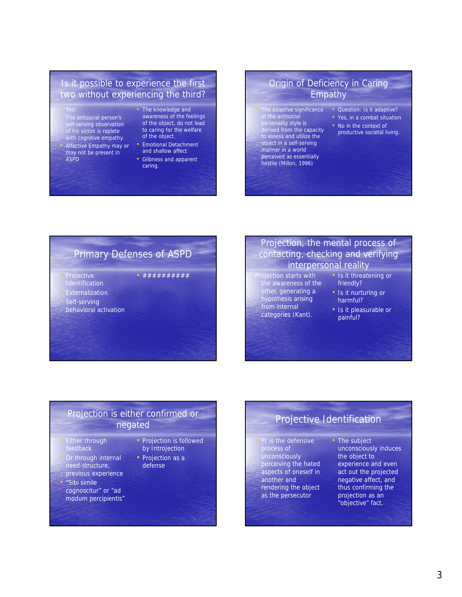#### Is it possible to experience the first two without experiencing the third?

- The antisocial person's self-serving observation of his victim is replete with cognitive empathy. • Affective Empathy may or may not be present in ASPD
- The knowledge and awareness of the feelings of the object, do not lead to caring for the welfare of the object.
- Emotional Detachment and shallow affect
- Glibness and apparent caring.

• ##########

#### Origin of Deficiency in Caring Empathy

The adaptive significance of the antisocial personality style is derived from the capacity to assess and utilize the

object in a self-serving manner in a world perceived as essentially hostile (Millon, 1996)

- Question: Is it adaptive?
- Yes, in a combat situation
- No in the context of productive societal living.

## Primary Defenses of ASPD

- Projective **Identification**
- Externalization
- Self-serving
- behavioral activation

#### Projection, the mental process of contacting, checking and verifying interpersonal reality

- Projection starts with the awareness of the other, generating a hypothesis arising
	- from internal categories (Kant).
- Is it threatening or friendly? • Is it nurturing or
- harmful?
- Is it pleasurable or painful?

#### Projection is either confirmed or negated

- Either through feedback
- Or through internal need-structure, previous experience
- "Sibi simile cognoscitur" or "ad modum percipientis"
- Projection is followed by Introjection
- Projection as a defense

## Projective Identification

- PI is the defensive process of unconsciously perceiving the hated aspects of oneself in another and rendering the object as the persecutor
- The subject unconsciously induces the object to experience and even act out the projected negative affect, and thus confirming the projection as an "objective" fact.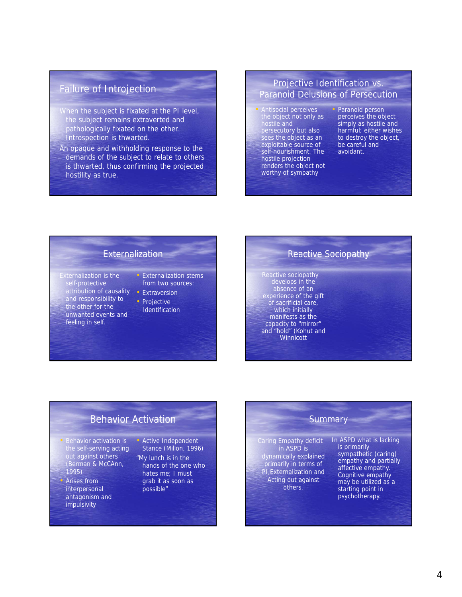## Failure of Introjection

- When the subject is fixated at the PI level, the subject remains extraverted and pathologically fixated on the other. Introspection is thwarted.
- An opaque and withholding response to the demands of the subject to relate to others is thwarted, thus confirming the projected hostility as true.

#### Projective Identification vs. Paranoid Delusions of Persecution

• Antisocial perceives the object not only as hostile and persecutory but also sees the object as an exploitable source of self-nourishment. The hostile projection renders the object not worthy of sympathy

• Paranoid person perceives the object simply as hostile and harmful; either wishes to destroy the object, be careful and avoidant.

#### **Externalization**

- Externalization is the self-protective attribution of causality and responsibility to the other for the unwanted events and feeling in self.
- Externalization stems from two sources:
- Extraversion
- 

- Projective
- Identification

## Reactive Sociopathy

Reactive sociopathy develops in the absence of an experience of the gift of sacrificial care, which initially manifests as the capacity to "mirror" and "hold" (Kohut and **Winnicott** 

#### Behavior Activation

- Behavior activation is the self-serving acting out against others (Berman & McCAnn, 1995)
- Arises from interpersonal antagonism and impulsivity

#### • Active Independent Stance (Millon, 1996)

"My lunch is in the hands of the one who hates me; I must grab it as soon as possible"

#### **Summary**

Caring Empathy deficit in ASPD is dynamically explained primarily in terms of PI,Externalization and Acting out against others.

In ASPD what is lacking is primarily sympathetic (caring) empathy and partially affective empathy. Cognitive empathy may be utilized as a starting point in psychotherapy.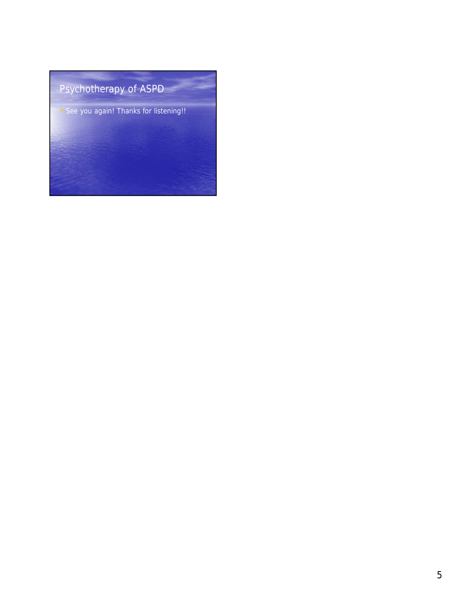# Psychotherapy of ASPD • See you again! Thanks for listening!!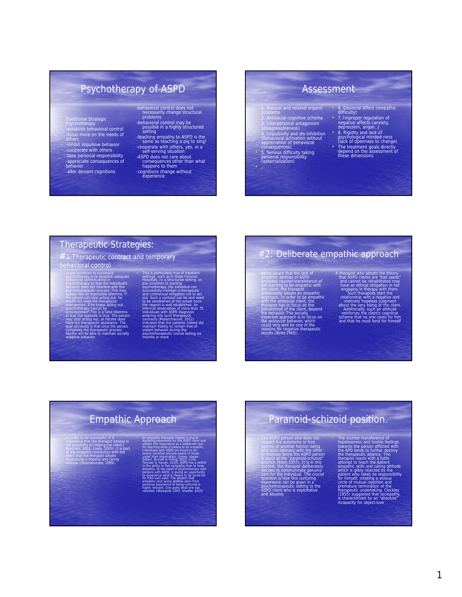## Psychotherapy of ASPD

- Traditional Strategic Psychotherapy -establish behavioral control
- -focus more on the needs of others -inhibit impulsive behavior cooperate with others -take personal responsibility -appreciate consequences of behavior -alter deviant cognitions
- -behavioral control does not necessarily change structural problems
- -behavioral control may be possible in a highly structured setting
- -teaching empathy to ASPD is the same as teaching a pig to sing! -cooperate with others, yes, in a self-serving situation
- -ASPD does not care about consequences other than what happens to them
- -cognitions change without experience

#### Assessment

- 1. Arousal and related organic
- 
- problems 2. Antisocial cognitive schema 3. Interpersonal antagonism (disagreeableness) 4. Impulsivity and dis-inhibition (Behavioral activation without appreciation of behavioral consequences)
- 
- 
- 5. Serious difficulty taking personal responsibility (externalization)
- 
- 
- 6. Dissocial Affect (empathic difficulty)
- 7. Improper regulation of negative affects (anxiety, depression, anger…)
- 
- 8. Rigidity and lack of psychological minded-ness (lack of openness to change)
- 
- The treatment goals directly depend on the assessment of these dimensions

#### Therapeutic Strategies:

 $\#$ 1:Therapeutic contract and temporary

#### behavioral control

- A pre-condition to successful<br>possible acconstrated by experiment of the sylven deniver dependent of<br>posted constrained by the sylven dependent of the properties and in<br>posted the properties and impossible different with t
- 
- 
- 

This is particularly true of inpatient<br>settings, such as in State Forensic<br>Hospitals. In a structured setting, as<br>pre-condition to starting<br>sycohotherapy, the individual can<br>successfully maintain a therapeutic<br>and contract out. Such a contract can be and need<br>to be established at the outset once<br>the rapport is well established at nee<br>informal observation of more than 75<br>informal observation of more than 75<br>entering into such therapeutic<br>cont

## #2: Deliberate empathic approach

• Being aware that the lack of<br>empathic abilities of ASPD<br>provides counter-transference of<br>not wanting to be empathic with<br>the clent, the therapist<br>deliberately adopts an empathic<br>cleproach. In order to be empathic<br>with t personhood of the client, beyond<br>the behavior. The socially<br>expected approach is to focus on<br>the antisocial behavior, which<br>could very well be one of the<br>reasons for negative therapeutic<br>results (Beier,1966)..

A therapist who adopts the theory<br>that ASPD clients are "bad seeds"<br>and cannot be rehabilitated may<br>have an ethical obligation in not<br>engaging in therapists start the<br>relationship with a negative and<br>relationship with a ne

## Paranoid-schizoid position.

Fine ASPD person also does not<br>respect the autonomy or free<br>agency of another numering and example of another<br>in Kleinhan terms the ASPD person<br>is stuck at the paramola-schridoid<br>position (Klein, 1957). It is in this<br>cecid

The counter-transference of<br>the constrained beyond the proposeness and bostile feelings<br>towards the person afflicted with<br>the APD rends to further elstrory<br>the therapsit casts with a fulle element to leach the patient<br>atte

1

## Empathic Approach

In order to be successful, it is<br>merative that the therapist believe in the possibility of helping the client<br>forcess, 2002: Lively 2005). It is part<br>of the empathic cometer<br>client that the therapist adopts<br>consciously a

- 
- keenly sensitive and are aware of those under their observation. (Jones, Happe, Gilbert, Burnett & Viding, 2010; Cima, Tonnaer & Hauser, 2010). ASPD has a deficit in the ability to feel sympathy than to have empathy. At the heart of psychotherapy with persons with ASPD, is giving an opportunity to experience what it means to be cared for, for their own sake. The wisdom that empathic and caring abilities stem from

• An empathic therapist creates a crucial modeling experience for the ASPD client and utilizes this experience as a deliberate tool for teaching what it means to be empathic. Individuals with ASPD are found to be

personal experience of being nurtured is highly relevant. One gives what one has received. (Wampold, 2007; Shedler, 2010)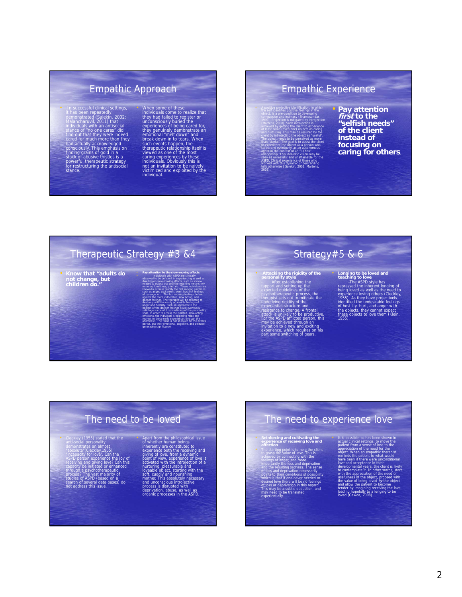## Empathic Approach

- In successful clinical settings,<br>it has been repeatedly<br>the anomstrated (Salekin, 2002;<br>Malancharuvil, 2011) that<br>individuals with an antisocial<br>stance of "no one cares" did<br>face and that they were indeed<br>cared for much
- 

• When some of these<br>individuals come to realize that<br>they had failed to register or<br>experiences of being cared for,<br>experiences of being cared for,<br>they genuinely demonstrate an<br>emotional "melt down" and<br>break down in to

## Empathic Experience

• A positive projective identification, in which the self identifies positive feelings in the object, is a pre-condition to developing compassion and intimacy (Shamasundar, 1999). Projection is mitigated by introjection (Martens, 2008). Such introjection is achieved by getting the client to experience at least some (even one) objects as caring and nurturing. This may be resisted by the client by introjecting the object as "useful". The object needs to be perceived as more than "useful". The goal is to assist the client to experience the object as a person who cares, and eventually, as an autonomous agent in the context of an "I-Thou" relationship. This idealistic vision may be seen as unrealistic and unattainable for the ASPD. Clinical experience of those who worked with this dynamic understanding<br>tells otherwise ( Salekin, 2002; Martens,

2008).

#### • **Pay attention first to the "selfish needs" of the client instead of focusing on caring for others.**

## Therapeutic Strategy #3 &4

• **Know that "adults do not change, but children do."**

• Individuals with ASPD are clinically observed to be deficient in experiencing as well as dwelling on slow-moving affects, such as sorrow related to object loss and the resulting melancholy, remorse, loneliness, grief. etc. These individuals are known to express readily the fast moving emotions such as anger, excitement, overt hostility, feelings of revenge, etc. The fast moving feelings defend against the more vulnerable, slow acting, and deeper feelings. The therapist will be tempted to deal only with the easily accessible feelings of anger and hostility. Such an approach to the neglect of the deeper feelings could eventually sabotage successful restructuring of the personality style. In order to access the isolated, slow-acting emotions, the individual is helped to relax and regress to these early experiences through the anamnesis. The focus is not so much on the events per se, but their emotional, cognitive, and attitudegenerating significance.

• **Pay attention to the slow-moving affects.**

## Strategy#5 & 6

- **Attacking the rigidity of the personality style** After establishing the rapport and setting up the expected guidelines of the<br>psycholograpic frequencies, the<br>therapist sets out to mitigate the<br>underlying rigidity of the<br>experiential-structure and<br>resistance to change. A frontal<br>attack-is unlikely to be productive.<br>For t
- 

**Longing to be loved and<br>teaching to love**<br>cripscasd the inherent longing of<br>eing loved as well as the need to<br>experience loving others (Cleckley,<br>1955). As they have projectively<br>identified the undestrable feelings<br>of not

## The need to be loved

• Cleckley (1955) stated that the anti-social personality demonstrates an almost "absolute"(Cleckley,1955) "incapacity for love". Can the ASPD person experience the joy of<br>receiving and giving love? Can this<br>capacity be initiated or enhanced<br>through a psychotherapeutic<br>process? The vast majority of<br>studies of ASPD (based on a<br>not address this issue. • Apart from the philosophical issue<br>of whether human beings<br>inherently are constituted to<br>experience both the receiving and<br>plying of love, from a dynamic<br>point of view, experience of love is<br>activated with the introjecti

## The need to experience love

#### • **Reinforcing and cultivating the experience of receiving love and affection** • The starting point is to help the client to grasp the value of love. This is achieved by connecting with the

feelings of anger, and more importantly the loss and deprivation and the resulting sadness. The sense of loss and deprivation necessarily points to their conditions of possibility which is that if one never needed or desired love there will be no feelings of loss or deprivation in this regard. This may be a subtle deduction, and may need to be translated

experientially.

• It is possible, as has been shown in actual clinical settings, to move the patient from a sense of loss to the appreciation of the need for the object. When an empathic therapist reminds the patient to what would have been if there were unconditional love and acceptance in their developmental years, the client is likely to contemplate it. In other words, start with the appreciation of the need or

usefulness of the object, proceed with<br>the value of being loved by the object<br>and allow the patient to become<br>tender by imagining receiving the love,<br>leading hopefully to a longing to be<br>loved (Gawda, 2008).